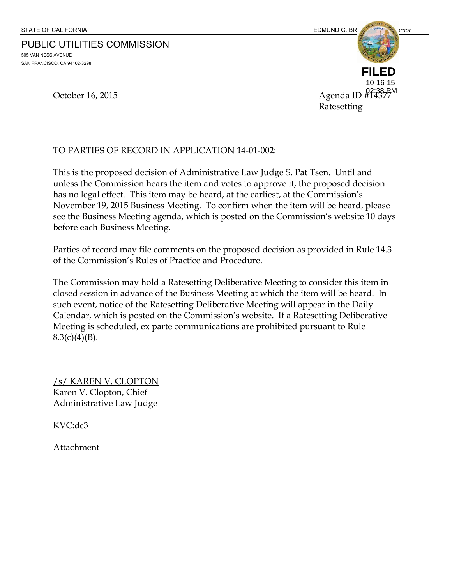PUBLIC UTILITIES COMMISSION 505 VAN NESS AVENUE

SAN FRANCISCO, CA 94102-3298

October 16, 2015 **Agenda ID**  $\frac{02:38 \text{ PM}}{44377}$  Ratesetting **FILED** 10-16-15

TO PARTIES OF RECORD IN APPLICATION 14-01-002:

This is the proposed decision of Administrative Law Judge S. Pat Tsen. Until and unless the Commission hears the item and votes to approve it, the proposed decision has no legal effect. This item may be heard, at the earliest, at the Commission's November 19, 2015 Business Meeting. To confirm when the item will be heard, please see the Business Meeting agenda, which is posted on the Commission's website 10 days before each Business Meeting.

Parties of record may file comments on the proposed decision as provided in Rule 14.3 of the Commission's Rules of Practice and Procedure.

The Commission may hold a Ratesetting Deliberative Meeting to consider this item in closed session in advance of the Business Meeting at which the item will be heard. In such event, notice of the Ratesetting Deliberative Meeting will appear in the Daily Calendar, which is posted on the Commission's website. If a Ratesetting Deliberative Meeting is scheduled, ex parte communications are prohibited pursuant to Rule  $8.3(c)(4)(B)$ .

/s/ KAREN V. CLOPTON Karen V. Clopton, Chief Administrative Law Judge

KVC:dc3

Attachment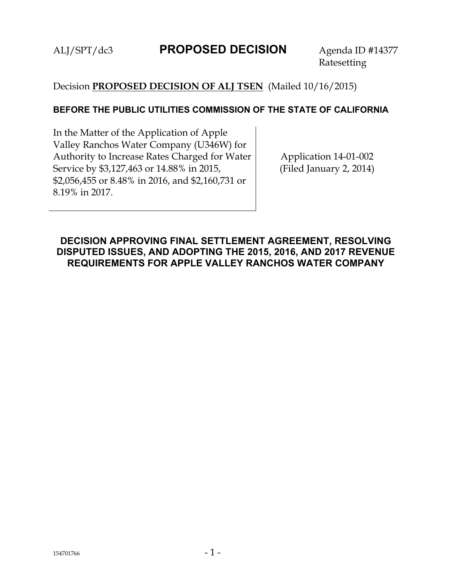# ALJ/SPT/dc3 **PROPOSED DECISION** Agenda ID #14377

Ratesetting

## Decision **PROPOSED DECISION OF ALJ TSEN** (Mailed 10/16/2015)

#### **BEFORE THE PUBLIC UTILITIES COMMISSION OF THE STATE OF CALIFORNIA**

In the Matter of the Application of Apple Valley Ranchos Water Company (U346W) for Authority to Increase Rates Charged for Water Service by \$3,127,463 or 14.88% in 2015, \$2,056,455 or 8.48% in 2016, and \$2,160,731 or 8.19% in 2017.

Application 14-01-002 (Filed January 2, 2014)

## **DECISION APPROVING FINAL SETTLEMENT AGREEMENT, RESOLVING DISPUTED ISSUES, AND ADOPTING THE 2015, 2016, AND 2017 REVENUE REQUIREMENTS FOR APPLE VALLEY RANCHOS WATER COMPANY**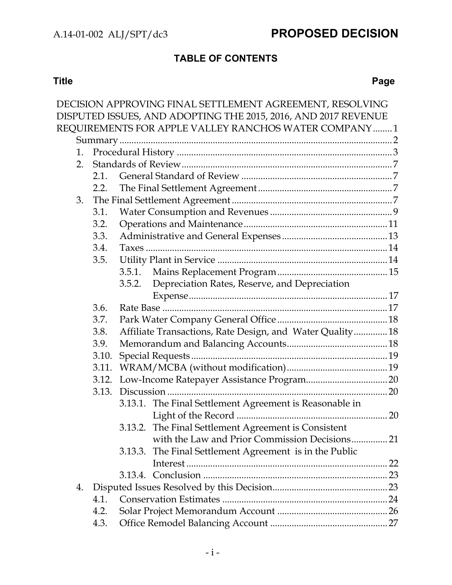# **TABLE OF CONTENTS**

#### **Title Page**

|    |       | DECISION APPROVING FINAL SETTLEMENT AGREEMENT, RESOLVING       |  |
|----|-------|----------------------------------------------------------------|--|
|    |       | DISPUTED ISSUES, AND ADOPTING THE 2015, 2016, AND 2017 REVENUE |  |
|    |       | REQUIREMENTS FOR APPLE VALLEY RANCHOS WATER COMPANY 1          |  |
|    |       |                                                                |  |
| 1. |       |                                                                |  |
| 2. |       |                                                                |  |
|    | 2.1.  |                                                                |  |
|    | 2.2.  |                                                                |  |
| 3. |       |                                                                |  |
|    | 3.1.  |                                                                |  |
|    | 3.2.  |                                                                |  |
|    | 3.3.  |                                                                |  |
|    | 3.4.  |                                                                |  |
|    | 3.5.  |                                                                |  |
|    |       | 3.5.1.                                                         |  |
|    |       | Depreciation Rates, Reserve, and Depreciation<br>3.5.2.        |  |
|    |       |                                                                |  |
|    | 3.6.  |                                                                |  |
|    | 3.7.  |                                                                |  |
|    | 3.8.  | Affiliate Transactions, Rate Design, and Water Quality 18      |  |
|    | 3.9.  |                                                                |  |
|    | 3.10. |                                                                |  |
|    | 3.11. |                                                                |  |
|    | 3.12. |                                                                |  |
|    |       |                                                                |  |
|    |       | 3.13.1. The Final Settlement Agreement is Reasonable in        |  |
|    |       |                                                                |  |
|    |       | 3.13.2. The Final Settlement Agreement is Consistent           |  |
|    |       | with the Law and Prior Commission Decisions 21                 |  |
|    |       | 3.13.3. The Final Settlement Agreement is in the Public        |  |
|    |       |                                                                |  |
|    |       |                                                                |  |
| 4. |       |                                                                |  |
|    | 4.1.  |                                                                |  |
|    | 4.2.  |                                                                |  |
|    | 4.3.  |                                                                |  |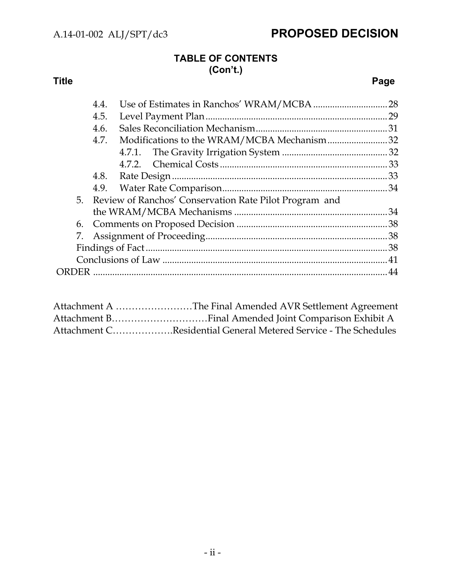# **TABLE OF CONTENTS (Con't.)**

#### **Title Page**

|      | 4.4. |                                                           |  |
|------|------|-----------------------------------------------------------|--|
| 4.5. |      |                                                           |  |
|      | 4.6. |                                                           |  |
|      | 4.7. | Modifications to the WRAM/MCBA Mechanism32                |  |
|      |      |                                                           |  |
|      |      |                                                           |  |
|      |      |                                                           |  |
|      |      |                                                           |  |
|      |      | 5. Review of Ranchos' Conservation Rate Pilot Program and |  |
|      |      |                                                           |  |
|      |      |                                                           |  |
|      |      |                                                           |  |
|      |      |                                                           |  |
|      |      |                                                           |  |
|      |      |                                                           |  |
|      |      |                                                           |  |

| Attachment A The Final Amended AVR Settlement Agreement         |
|-----------------------------------------------------------------|
|                                                                 |
| Attachment CResidential General Metered Service - The Schedules |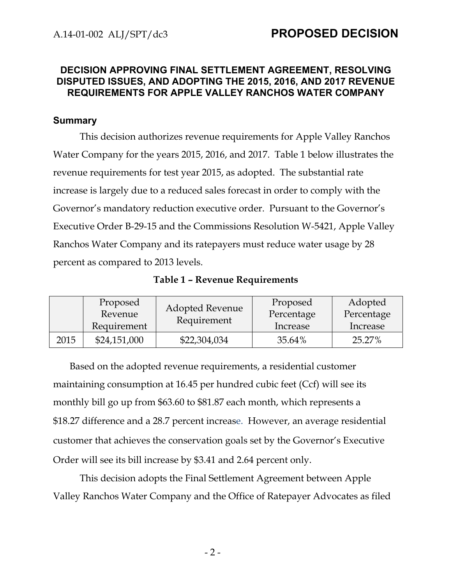## **DECISION APPROVING FINAL SETTLEMENT AGREEMENT, RESOLVING DISPUTED ISSUES, AND ADOPTING THE 2015, 2016, AND 2017 REVENUE REQUIREMENTS FOR APPLE VALLEY RANCHOS WATER COMPANY**

#### **Summary**

This decision authorizes revenue requirements for Apple Valley Ranchos Water Company for the years 2015, 2016, and 2017. Table 1 below illustrates the revenue requirements for test year 2015, as adopted. The substantial rate increase is largely due to a reduced sales forecast in order to comply with the Governor's mandatory reduction executive order. Pursuant to the Governor's Executive Order B-29-15 and the Commissions Resolution W-5421, Apple Valley Ranchos Water Company and its ratepayers must reduce water usage by 28 percent as compared to 2013 levels.

| Table 1 - Revenue Requirements |
|--------------------------------|
|--------------------------------|

|      | Proposed<br>Revenue<br>Requirement | <b>Adopted Revenue</b><br>Requirement | Proposed<br>Percentage<br>Increase | Adopted<br>Percentage<br>Increase |
|------|------------------------------------|---------------------------------------|------------------------------------|-----------------------------------|
| 2015 | \$24,151,000                       | \$22,304,034                          | 35.64%                             | 25.27%                            |

Based on the adopted revenue requirements, a residential customer maintaining consumption at 16.45 per hundred cubic feet (Ccf) will see its monthly bill go up from \$63.60 to \$81.87 each month, which represents a \$18.27 difference and a 28.7 percent increase. However, an average residential customer that achieves the conservation goals set by the Governor's Executive Order will see its bill increase by \$3.41 and 2.64 percent only.

This decision adopts the Final Settlement Agreement between Apple Valley Ranchos Water Company and the Office of Ratepayer Advocates as filed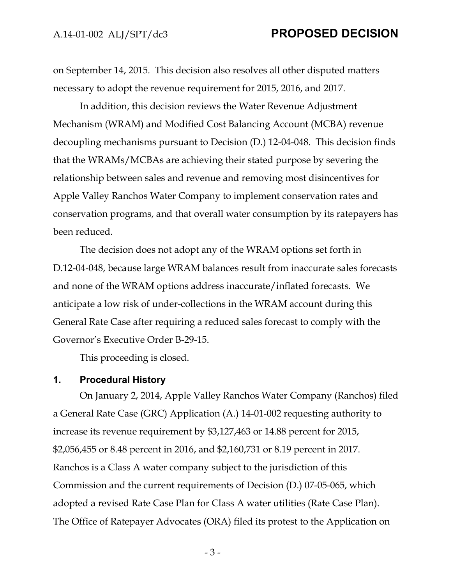on September 14, 2015. This decision also resolves all other disputed matters necessary to adopt the revenue requirement for 2015, 2016, and 2017.

In addition, this decision reviews the Water Revenue Adjustment Mechanism (WRAM) and Modified Cost Balancing Account (MCBA) revenue decoupling mechanisms pursuant to Decision (D.) 12-04-048. This decision finds that the WRAMs/MCBAs are achieving their stated purpose by severing the relationship between sales and revenue and removing most disincentives for Apple Valley Ranchos Water Company to implement conservation rates and conservation programs, and that overall water consumption by its ratepayers has been reduced.

The decision does not adopt any of the WRAM options set forth in D.12-04-048, because large WRAM balances result from inaccurate sales forecasts and none of the WRAM options address inaccurate/inflated forecasts. We anticipate a low risk of under-collections in the WRAM account during this General Rate Case after requiring a reduced sales forecast to comply with the Governor's Executive Order B-29-15.

This proceeding is closed.

#### **1. Procedural History**

On January 2, 2014, Apple Valley Ranchos Water Company (Ranchos) filed a General Rate Case (GRC) Application (A.) 14-01-002 requesting authority to increase its revenue requirement by \$3,127,463 or 14.88 percent for 2015, \$2,056,455 or 8.48 percent in 2016, and \$2,160,731 or 8.19 percent in 2017. Ranchos is a Class A water company subject to the jurisdiction of this Commission and the current requirements of Decision (D.) 07-05-065, which adopted a revised Rate Case Plan for Class A water utilities (Rate Case Plan). The Office of Ratepayer Advocates (ORA) filed its protest to the Application on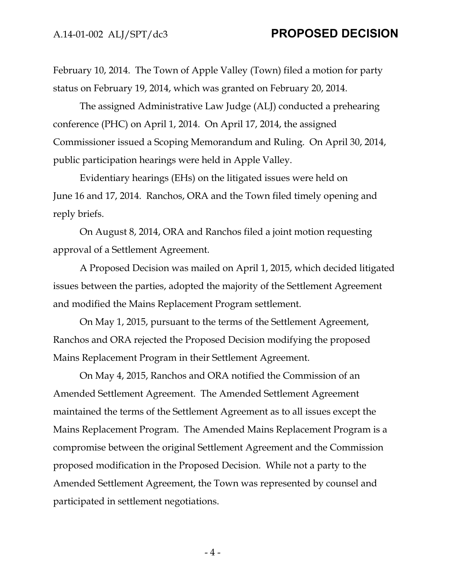February 10, 2014. The Town of Apple Valley (Town) filed a motion for party status on February 19, 2014, which was granted on February 20, 2014.

The assigned Administrative Law Judge (ALJ) conducted a prehearing conference (PHC) on April 1, 2014. On April 17, 2014, the assigned Commissioner issued a Scoping Memorandum and Ruling. On April 30, 2014, public participation hearings were held in Apple Valley.

Evidentiary hearings (EHs) on the litigated issues were held on June 16 and 17, 2014. Ranchos, ORA and the Town filed timely opening and reply briefs.

On August 8, 2014, ORA and Ranchos filed a joint motion requesting approval of a Settlement Agreement.

A Proposed Decision was mailed on April 1, 2015, which decided litigated issues between the parties, adopted the majority of the Settlement Agreement and modified the Mains Replacement Program settlement.

On May 1, 2015, pursuant to the terms of the Settlement Agreement, Ranchos and ORA rejected the Proposed Decision modifying the proposed Mains Replacement Program in their Settlement Agreement.

On May 4, 2015, Ranchos and ORA notified the Commission of an Amended Settlement Agreement. The Amended Settlement Agreement maintained the terms of the Settlement Agreement as to all issues except the Mains Replacement Program. The Amended Mains Replacement Program is a compromise between the original Settlement Agreement and the Commission proposed modification in the Proposed Decision. While not a party to the Amended Settlement Agreement, the Town was represented by counsel and participated in settlement negotiations.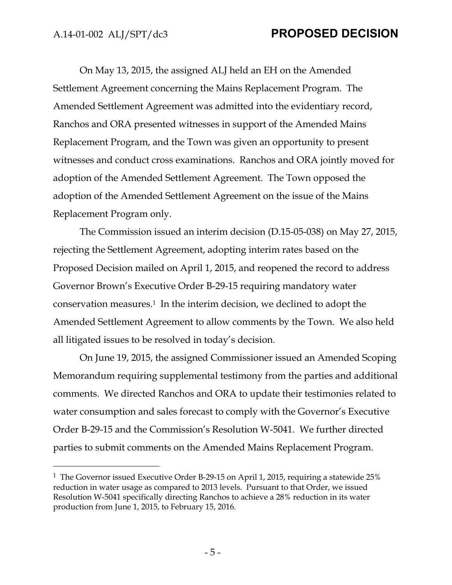$\overline{a}$ 

# A.14-01-002 ALJ/SPT/dc3 **PROPOSED DECISION**

On May 13, 2015, the assigned ALJ held an EH on the Amended Settlement Agreement concerning the Mains Replacement Program. The Amended Settlement Agreement was admitted into the evidentiary record, Ranchos and ORA presented witnesses in support of the Amended Mains Replacement Program, and the Town was given an opportunity to present witnesses and conduct cross examinations. Ranchos and ORA jointly moved for adoption of the Amended Settlement Agreement. The Town opposed the adoption of the Amended Settlement Agreement on the issue of the Mains Replacement Program only.

The Commission issued an interim decision (D.15-05-038) on May 27, 2015, rejecting the Settlement Agreement, adopting interim rates based on the Proposed Decision mailed on April 1, 2015, and reopened the record to address Governor Brown's Executive Order B-29-15 requiring mandatory water conservation measures.1 In the interim decision, we declined to adopt the Amended Settlement Agreement to allow comments by the Town. We also held all litigated issues to be resolved in today's decision.

On June 19, 2015, the assigned Commissioner issued an Amended Scoping Memorandum requiring supplemental testimony from the parties and additional comments. We directed Ranchos and ORA to update their testimonies related to water consumption and sales forecast to comply with the Governor's Executive Order B-29-15 and the Commission's Resolution W-5041. We further directed parties to submit comments on the Amended Mains Replacement Program.

<sup>&</sup>lt;sup>1</sup> The Governor issued Executive Order B-29-15 on April 1, 2015, requiring a statewide 25% reduction in water usage as compared to 2013 levels. Pursuant to that Order, we issued Resolution W-5041 specifically directing Ranchos to achieve a 28% reduction in its water production from June 1, 2015, to February 15, 2016.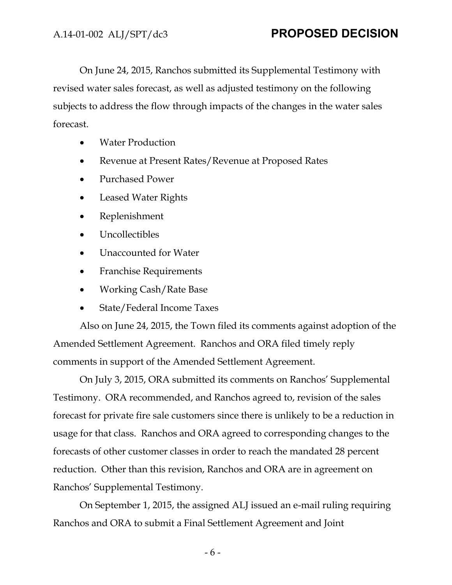On June 24, 2015, Ranchos submitted its Supplemental Testimony with revised water sales forecast, as well as adjusted testimony on the following subjects to address the flow through impacts of the changes in the water sales forecast.

- Water Production
- Revenue at Present Rates/Revenue at Proposed Rates
- Purchased Power
- Leased Water Rights
- Replenishment
- Uncollectibles
- Unaccounted for Water
- Franchise Requirements
- Working Cash/Rate Base
- State/Federal Income Taxes

Also on June 24, 2015, the Town filed its comments against adoption of the Amended Settlement Agreement. Ranchos and ORA filed timely reply comments in support of the Amended Settlement Agreement.

On July 3, 2015, ORA submitted its comments on Ranchos' Supplemental Testimony. ORA recommended, and Ranchos agreed to, revision of the sales forecast for private fire sale customers since there is unlikely to be a reduction in usage for that class. Ranchos and ORA agreed to corresponding changes to the forecasts of other customer classes in order to reach the mandated 28 percent reduction. Other than this revision, Ranchos and ORA are in agreement on Ranchos' Supplemental Testimony.

On September 1, 2015, the assigned ALJ issued an e-mail ruling requiring Ranchos and ORA to submit a Final Settlement Agreement and Joint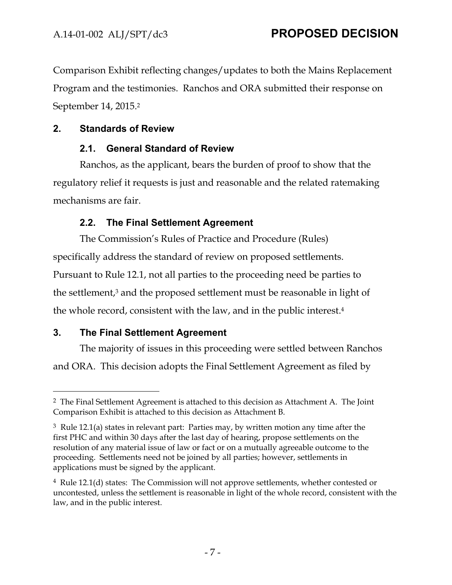Comparison Exhibit reflecting changes/updates to both the Mains Replacement Program and the testimonies. Ranchos and ORA submitted their response on September 14, 2015.2

## **2. Standards of Review**

## **2.1. General Standard of Review**

Ranchos, as the applicant, bears the burden of proof to show that the regulatory relief it requests is just and reasonable and the related ratemaking mechanisms are fair.

# **2.2. The Final Settlement Agreement**

The Commission's Rules of Practice and Procedure (Rules) specifically address the standard of review on proposed settlements. Pursuant to Rule 12.1, not all parties to the proceeding need be parties to the settlement,<sup>3</sup> and the proposed settlement must be reasonable in light of the whole record, consistent with the law, and in the public interest.4

# **3. The Final Settlement Agreement**

 $\overline{a}$ 

The majority of issues in this proceeding were settled between Ranchos and ORA. This decision adopts the Final Settlement Agreement as filed by

<sup>2</sup> The Final Settlement Agreement is attached to this decision as Attachment A. The Joint Comparison Exhibit is attached to this decision as Attachment B.

 $3 \text{ Rule } 12.1(a)$  states in relevant part: Parties may, by written motion any time after the first PHC and within 30 days after the last day of hearing, propose settlements on the resolution of any material issue of law or fact or on a mutually agreeable outcome to the proceeding. Settlements need not be joined by all parties; however, settlements in applications must be signed by the applicant.

 $4$  Rule 12.1(d) states: The Commission will not approve settlements, whether contested or uncontested, unless the settlement is reasonable in light of the whole record, consistent with the law, and in the public interest.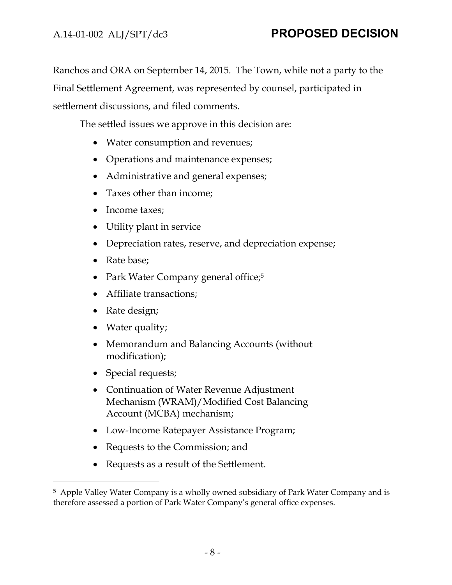Ranchos and ORA on September 14, 2015. The Town, while not a party to the Final Settlement Agreement, was represented by counsel, participated in settlement discussions, and filed comments.

The settled issues we approve in this decision are:

- Water consumption and revenues;
- Operations and maintenance expenses;
- Administrative and general expenses;
- Taxes other than income;
- Income taxes;
- Utility plant in service
- Depreciation rates, reserve, and depreciation expense;
- Rate base;
- Park Water Company general office;<sup>5</sup>
- Affiliate transactions;
- Rate design;
- Water quality;
- Memorandum and Balancing Accounts (without modification);
- Special requests;

- Continuation of Water Revenue Adjustment Mechanism (WRAM)/Modified Cost Balancing Account (MCBA) mechanism;
- Low-Income Ratepayer Assistance Program;
- Requests to the Commission; and
- Requests as a result of the Settlement.

<sup>5</sup> Apple Valley Water Company is a wholly owned subsidiary of Park Water Company and is therefore assessed a portion of Park Water Company's general office expenses.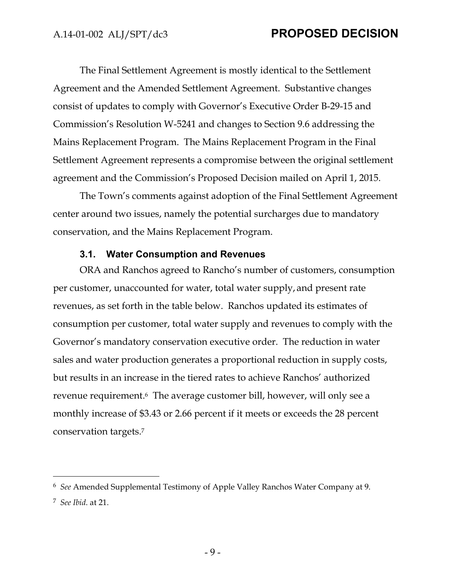The Final Settlement Agreement is mostly identical to the Settlement Agreement and the Amended Settlement Agreement. Substantive changes consist of updates to comply with Governor's Executive Order B-29-15 and Commission's Resolution W-5241 and changes to Section 9.6 addressing the Mains Replacement Program. The Mains Replacement Program in the Final Settlement Agreement represents a compromise between the original settlement agreement and the Commission's Proposed Decision mailed on April 1, 2015.

The Town's comments against adoption of the Final Settlement Agreement center around two issues, namely the potential surcharges due to mandatory conservation, and the Mains Replacement Program.

#### **3.1. Water Consumption and Revenues**

ORA and Ranchos agreed to Rancho's number of customers, consumption per customer, unaccounted for water, total water supply, and present rate revenues, as set forth in the table below. Ranchos updated its estimates of consumption per customer, total water supply and revenues to comply with the Governor's mandatory conservation executive order. The reduction in water sales and water production generates a proportional reduction in supply costs, but results in an increase in the tiered rates to achieve Ranchos' authorized revenue requirement.6 The average customer bill, however, will only see a monthly increase of \$3.43 or 2.66 percent if it meets or exceeds the 28 percent conservation targets.7

<sup>6</sup> *See* Amended Supplemental Testimony of Apple Valley Ranchos Water Company at 9.

<sup>7</sup> *See Ibid*. at 21.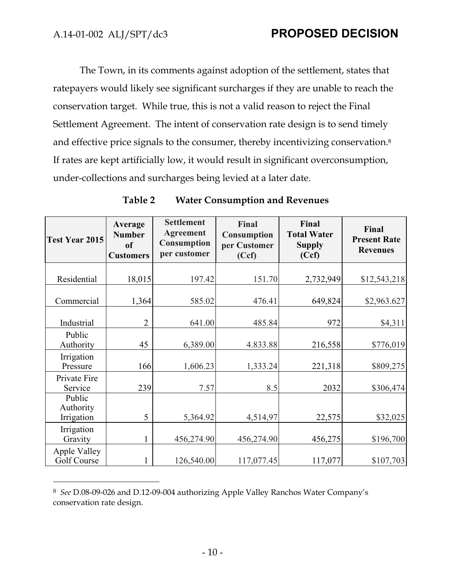$\overline{a}$ 

The Town, in its comments against adoption of the settlement, states that ratepayers would likely see significant surcharges if they are unable to reach the conservation target. While true, this is not a valid reason to reject the Final Settlement Agreement. The intent of conservation rate design is to send timely and effective price signals to the consumer, thereby incentivizing conservation.8 If rates are kept artificially low, it would result in significant overconsumption, under-collections and surcharges being levied at a later date.

| Test Year 2015                    | Average<br><b>Number</b><br><sub>of</sub><br><b>Customers</b> | <b>Settlement</b><br><b>Agreement</b><br>Consumption<br>per customer | Final<br><b>Consumption</b><br>per Customer<br>(Ccf) | Final<br><b>Total Water</b><br><b>Supply</b><br>(Ccf) | Final<br><b>Present Rate</b><br><b>Revenues</b> |
|-----------------------------------|---------------------------------------------------------------|----------------------------------------------------------------------|------------------------------------------------------|-------------------------------------------------------|-------------------------------------------------|
| Residential                       | 18,015                                                        | 197.42                                                               | 151.70                                               | 2,732,949                                             | \$12,543,218                                    |
|                                   |                                                               |                                                                      |                                                      |                                                       |                                                 |
| Commercial                        | 1,364                                                         | 585.02                                                               | 476.41                                               | 649,824                                               | \$2,963.627                                     |
| Industrial                        | $\overline{2}$                                                | 641.00                                                               | 485.84                                               | 972                                                   | \$4,311                                         |
| Public<br>Authority               | 45                                                            | 6,389.00                                                             | 4.833.88                                             | 216,558                                               | \$776,019                                       |
| Irrigation<br>Pressure            | 166                                                           | 1,606.23                                                             | 1,333.24                                             | 221,318                                               | \$809,275                                       |
| Private Fire<br>Service           | 239                                                           | 7.57                                                                 | 8.5                                                  | 2032                                                  | \$306,474                                       |
| Public<br>Authority<br>Irrigation | 5                                                             | 5,364.92                                                             | 4,514,97                                             | 22,575                                                | \$32,025                                        |
| Irrigation<br>Gravity             |                                                               | 456,274.90                                                           | 456,274.90                                           | 456,275                                               | \$196,700                                       |
| Apple Valley<br>Golf Course       |                                                               | 126,540.00                                                           | 117,077.45                                           | 117,077                                               | \$107,703                                       |

#### **Table 2 Water Consumption and Revenues**

<sup>8</sup> *See* D.08-09-026 and D.12-09-004 authorizing Apple Valley Ranchos Water Company's conservation rate design.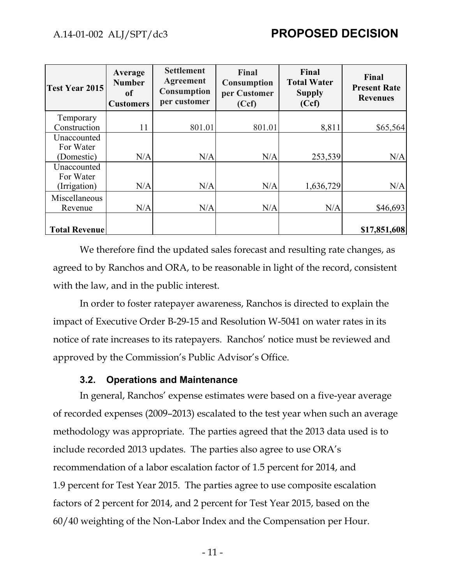| <b>Test Year 2015</b> | Average<br><b>Number</b><br>of<br><b>Customers</b> | <b>Settlement</b><br><b>Agreement</b><br>Consumption<br>per customer | <b>Final</b><br><b>Consumption</b><br>per Customer<br>(Ccf) | Final<br><b>Total Water</b><br><b>Supply</b><br>(Ccf) | Final<br><b>Present Rate</b><br><b>Revenues</b> |
|-----------------------|----------------------------------------------------|----------------------------------------------------------------------|-------------------------------------------------------------|-------------------------------------------------------|-------------------------------------------------|
| Temporary             |                                                    |                                                                      |                                                             |                                                       |                                                 |
| Construction          | 11                                                 | 801.01                                                               | 801.01                                                      | 8,811                                                 | \$65,564                                        |
| Unaccounted           |                                                    |                                                                      |                                                             |                                                       |                                                 |
| For Water             |                                                    |                                                                      |                                                             |                                                       |                                                 |
| (Domestic)            | N/A                                                | N/A                                                                  | N/A                                                         | 253,539                                               | N/A                                             |
| Unaccounted           |                                                    |                                                                      |                                                             |                                                       |                                                 |
| For Water             |                                                    |                                                                      |                                                             |                                                       |                                                 |
| (Irrigation)          | N/A                                                | N/A                                                                  | N/A                                                         | 1,636,729                                             | N/A                                             |
| Miscellaneous         |                                                    |                                                                      |                                                             |                                                       |                                                 |
| Revenue               | N/A                                                | N/A                                                                  | N/A                                                         | N/A                                                   | \$46,693                                        |
|                       |                                                    |                                                                      |                                                             |                                                       |                                                 |
| <b>Total Revenue</b>  |                                                    |                                                                      |                                                             |                                                       | \$17,851,608                                    |

We therefore find the updated sales forecast and resulting rate changes, as agreed to by Ranchos and ORA, to be reasonable in light of the record, consistent with the law, and in the public interest.

In order to foster ratepayer awareness, Ranchos is directed to explain the impact of Executive Order B-29-15 and Resolution W-5041 on water rates in its notice of rate increases to its ratepayers. Ranchos' notice must be reviewed and approved by the Commission's Public Advisor's Office.

#### **3.2. Operations and Maintenance**

In general, Ranchos' expense estimates were based on a five-year average of recorded expenses (2009–2013) escalated to the test year when such an average methodology was appropriate. The parties agreed that the 2013 data used is to include recorded 2013 updates. The parties also agree to use ORA's recommendation of a labor escalation factor of 1.5 percent for 2014, and 1.9 percent for Test Year 2015. The parties agree to use composite escalation factors of 2 percent for 2014, and 2 percent for Test Year 2015, based on the 60/40 weighting of the Non-Labor Index and the Compensation per Hour.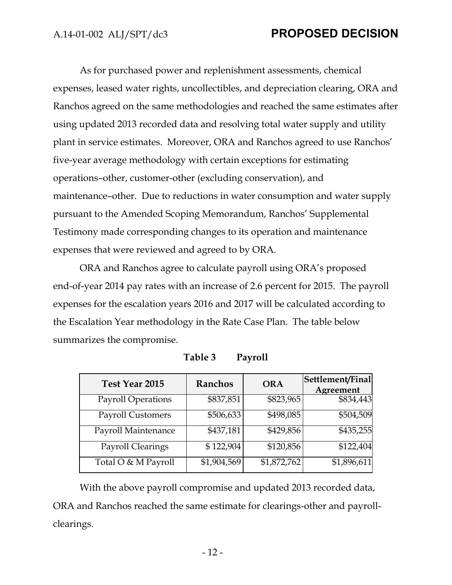As for purchased power and replenishment assessments, chemical expenses, leased water rights, uncollectibles, and depreciation clearing, ORA and Ranchos agreed on the same methodologies and reached the same estimates after using updated 2013 recorded data and resolving total water supply and utility plant in service estimates. Moreover, ORA and Ranchos agreed to use Ranchos' five-year average methodology with certain exceptions for estimating operations–other, customer-other (excluding conservation), and maintenance–other. Due to reductions in water consumption and water supply pursuant to the Amended Scoping Memorandum, Ranchos' Supplemental Testimony made corresponding changes to its operation and maintenance expenses that were reviewed and agreed to by ORA.

ORA and Ranchos agree to calculate payroll using ORA's proposed end-of-year 2014 pay rates with an increase of 2.6 percent for 2015. The payroll expenses for the escalation years 2016 and 2017 will be calculated according to the Escalation Year methodology in the Rate Case Plan. The table below summarizes the compromise.

| Test Year 2015            | Ranchos     | <b>ORA</b>  | Settlement/Final<br>Agreement |
|---------------------------|-------------|-------------|-------------------------------|
| <b>Payroll Operations</b> | \$837,851   | \$823,965   | \$834,443                     |
| <b>Payroll Customers</b>  | \$506,633   | \$498,085   | \$504,509                     |
| Payroll Maintenance       | \$437,181   | \$429,856   | \$435,255                     |
| Payroll Clearings         | \$122,904   | \$120,856   | \$122,404                     |
| Total O & M Payroll       | \$1,904,569 | \$1,872,762 | \$1,896,611                   |

| Table 3 | Payroll |
|---------|---------|
|---------|---------|

With the above payroll compromise and updated 2013 recorded data, ORA and Ranchos reached the same estimate for clearings-other and payrollclearings.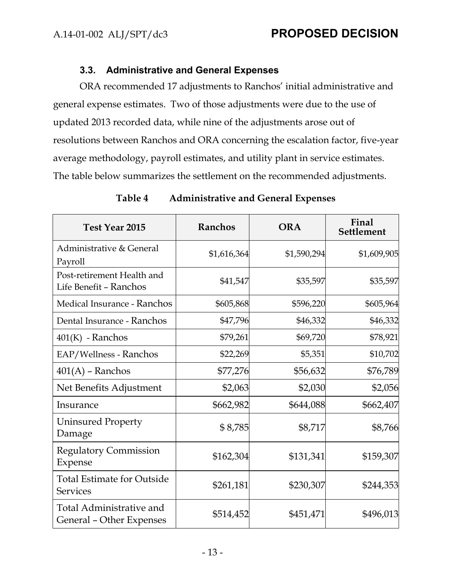## **3.3. Administrative and General Expenses**

ORA recommended 17 adjustments to Ranchos' initial administrative and general expense estimates. Two of those adjustments were due to the use of updated 2013 recorded data, while nine of the adjustments arose out of resolutions between Ranchos and ORA concerning the escalation factor, five-year average methodology, payroll estimates, and utility plant in service estimates. The table below summarizes the settlement on the recommended adjustments.

| Test Year 2015                                       | <b>Ranchos</b> | <b>ORA</b>  | Final<br><b>Settlement</b> |
|------------------------------------------------------|----------------|-------------|----------------------------|
| Administrative & General<br>Payroll                  | \$1,616,364    | \$1,590,294 | \$1,609,905                |
| Post-retirement Health and<br>Life Benefit - Ranchos | \$41,547       | \$35,597    | \$35,597                   |
| Medical Insurance - Ranchos                          | \$605,868      | \$596,220   | \$605,964                  |
| Dental Insurance - Ranchos                           | \$47,796       | \$46,332    | \$46,332                   |
| $401(K)$ - Ranchos                                   | \$79,261       | \$69,720    | \$78,921                   |
| EAP/Wellness - Ranchos                               | \$22,269       | \$5,351     | \$10,702                   |
| $401(A)$ – Ranchos                                   | \$77,276       | \$56,632    | \$76,789                   |
| Net Benefits Adjustment                              | \$2,063        | \$2,030     | \$2,056                    |
| Insurance                                            | \$662,982      | \$644,088   | \$662,407                  |
| Uninsured Property<br>Damage                         | \$8,785        | \$8,717     | \$8,766                    |
| <b>Regulatory Commission</b><br>Expense              | \$162,304      | \$131,341   | \$159,307                  |
| <b>Total Estimate for Outside</b><br><b>Services</b> | \$261,181      | \$230,307   | \$244,353                  |
| Total Administrative and<br>General - Other Expenses | \$514,452      | \$451,471   | \$496,013                  |

#### **Table 4 Administrative and General Expenses**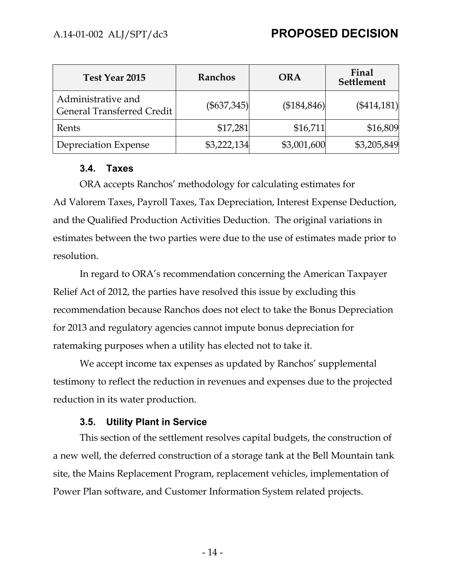| Test Year 2015                                          | Ranchos       | <b>ORA</b>   | Final<br>Settlement |
|---------------------------------------------------------|---------------|--------------|---------------------|
| Administrative and<br><b>General Transferred Credit</b> | $(\$637,345)$ | (\$184, 846) | $(\$414,181)$       |
| Rents                                                   | \$17,281      | \$16,711     | \$16,809            |
| Depreciation Expense                                    | \$3,222,134   | \$3,001,600  | \$3,205,849         |

#### **3.4. Taxes**

ORA accepts Ranchos' methodology for calculating estimates for Ad Valorem Taxes, Payroll Taxes, Tax Depreciation, Interest Expense Deduction, and the Qualified Production Activities Deduction. The original variations in estimates between the two parties were due to the use of estimates made prior to resolution.

In regard to ORA's recommendation concerning the American Taxpayer Relief Act of 2012, the parties have resolved this issue by excluding this recommendation because Ranchos does not elect to take the Bonus Depreciation for 2013 and regulatory agencies cannot impute bonus depreciation for ratemaking purposes when a utility has elected not to take it.

We accept income tax expenses as updated by Ranchos' supplemental testimony to reflect the reduction in revenues and expenses due to the projected reduction in its water production.

## **3.5. Utility Plant in Service**

This section of the settlement resolves capital budgets, the construction of a new well, the deferred construction of a storage tank at the Bell Mountain tank site, the Mains Replacement Program, replacement vehicles, implementation of Power Plan software, and Customer Information System related projects.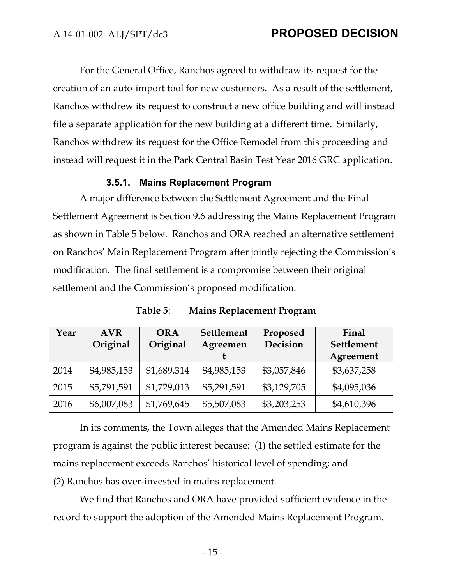For the General Office, Ranchos agreed to withdraw its request for the creation of an auto-import tool for new customers. As a result of the settlement, Ranchos withdrew its request to construct a new office building and will instead file a separate application for the new building at a different time. Similarly, Ranchos withdrew its request for the Office Remodel from this proceeding and instead will request it in the Park Central Basin Test Year 2016 GRC application.

### **3.5.1. Mains Replacement Program**

A major difference between the Settlement Agreement and the Final Settlement Agreement is Section 9.6 addressing the Mains Replacement Program as shown in Table 5 below. Ranchos and ORA reached an alternative settlement on Ranchos' Main Replacement Program after jointly rejecting the Commission's modification. The final settlement is a compromise between their original settlement and the Commission's proposed modification.

| Year | <b>AVR</b><br>Original | <b>ORA</b><br>Original | <b>Settlement</b><br>Agreemen | Proposed<br>Decision | Final<br>Settlement |
|------|------------------------|------------------------|-------------------------------|----------------------|---------------------|
|      |                        |                        |                               |                      | Agreement           |
| 2014 | \$4,985,153            | \$1,689,314            | \$4,985,153                   | \$3,057,846          | \$3,637,258         |
| 2015 | \$5,791,591            | \$1,729,013            | \$5,291,591                   | \$3,129,705          | \$4,095,036         |
| 2016 | \$6,007,083            | \$1,769,645            | \$5,507,083                   | \$3,203,253          | \$4,610,396         |

**Table 5**: **Mains Replacement Program**

In its comments, the Town alleges that the Amended Mains Replacement program is against the public interest because: (1) the settled estimate for the mains replacement exceeds Ranchos' historical level of spending; and (2) Ranchos has over-invested in mains replacement.

We find that Ranchos and ORA have provided sufficient evidence in the record to support the adoption of the Amended Mains Replacement Program.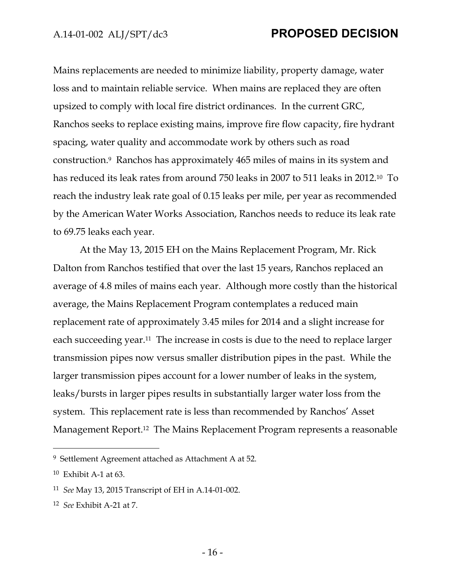Mains replacements are needed to minimize liability, property damage, water loss and to maintain reliable service. When mains are replaced they are often upsized to comply with local fire district ordinances. In the current GRC, Ranchos seeks to replace existing mains, improve fire flow capacity, fire hydrant spacing, water quality and accommodate work by others such as road construction.9 Ranchos has approximately 465 miles of mains in its system and has reduced its leak rates from around 750 leaks in 2007 to 511 leaks in 2012.10 To reach the industry leak rate goal of 0.15 leaks per mile, per year as recommended by the American Water Works Association, Ranchos needs to reduce its leak rate to 69.75 leaks each year.

At the May 13, 2015 EH on the Mains Replacement Program, Mr. Rick Dalton from Ranchos testified that over the last 15 years, Ranchos replaced an average of 4.8 miles of mains each year. Although more costly than the historical average, the Mains Replacement Program contemplates a reduced main replacement rate of approximately 3.45 miles for 2014 and a slight increase for each succeeding year.11 The increase in costs is due to the need to replace larger transmission pipes now versus smaller distribution pipes in the past. While the larger transmission pipes account for a lower number of leaks in the system, leaks/bursts in larger pipes results in substantially larger water loss from the system. This replacement rate is less than recommended by Ranchos' Asset Management Report.12 The Mains Replacement Program represents a reasonable

<sup>9</sup> Settlement Agreement attached as Attachment A at 52.

<sup>10</sup> Exhibit A-1 at 63.

<sup>11</sup> *See* May 13, 2015 Transcript of EH in A.14-01-002.

<sup>12</sup> *See* Exhibit A-21 at 7.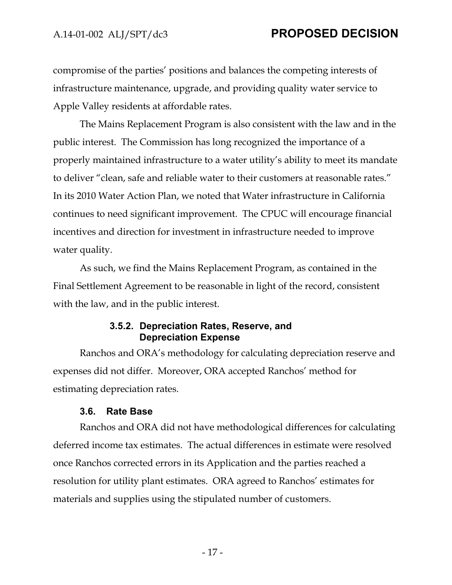compromise of the parties' positions and balances the competing interests of infrastructure maintenance, upgrade, and providing quality water service to Apple Valley residents at affordable rates.

The Mains Replacement Program is also consistent with the law and in the public interest. The Commission has long recognized the importance of a properly maintained infrastructure to a water utility's ability to meet its mandate to deliver "clean, safe and reliable water to their customers at reasonable rates." In its 2010 Water Action Plan, we noted that Water infrastructure in California continues to need significant improvement. The CPUC will encourage financial incentives and direction for investment in infrastructure needed to improve water quality.

As such, we find the Mains Replacement Program, as contained in the Final Settlement Agreement to be reasonable in light of the record, consistent with the law, and in the public interest.

#### **3.5.2. Depreciation Rates, Reserve, and Depreciation Expense**

Ranchos and ORA's methodology for calculating depreciation reserve and expenses did not differ. Moreover, ORA accepted Ranchos' method for estimating depreciation rates.

#### **3.6. Rate Base**

Ranchos and ORA did not have methodological differences for calculating deferred income tax estimates. The actual differences in estimate were resolved once Ranchos corrected errors in its Application and the parties reached a resolution for utility plant estimates. ORA agreed to Ranchos' estimates for materials and supplies using the stipulated number of customers.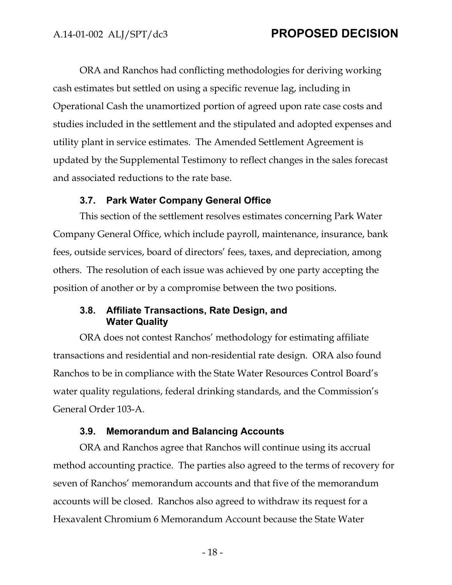ORA and Ranchos had conflicting methodologies for deriving working cash estimates but settled on using a specific revenue lag, including in Operational Cash the unamortized portion of agreed upon rate case costs and studies included in the settlement and the stipulated and adopted expenses and utility plant in service estimates. The Amended Settlement Agreement is updated by the Supplemental Testimony to reflect changes in the sales forecast and associated reductions to the rate base.

#### **3.7. Park Water Company General Office**

This section of the settlement resolves estimates concerning Park Water Company General Office, which include payroll, maintenance, insurance, bank fees, outside services, board of directors' fees, taxes, and depreciation, among others. The resolution of each issue was achieved by one party accepting the position of another or by a compromise between the two positions.

#### **3.8. Affiliate Transactions, Rate Design, and Water Quality**

ORA does not contest Ranchos' methodology for estimating affiliate transactions and residential and non-residential rate design. ORA also found Ranchos to be in compliance with the State Water Resources Control Board's water quality regulations, federal drinking standards, and the Commission's General Order 103-A.

#### **3.9. Memorandum and Balancing Accounts**

ORA and Ranchos agree that Ranchos will continue using its accrual method accounting practice. The parties also agreed to the terms of recovery for seven of Ranchos' memorandum accounts and that five of the memorandum accounts will be closed. Ranchos also agreed to withdraw its request for a Hexavalent Chromium 6 Memorandum Account because the State Water

- 18 -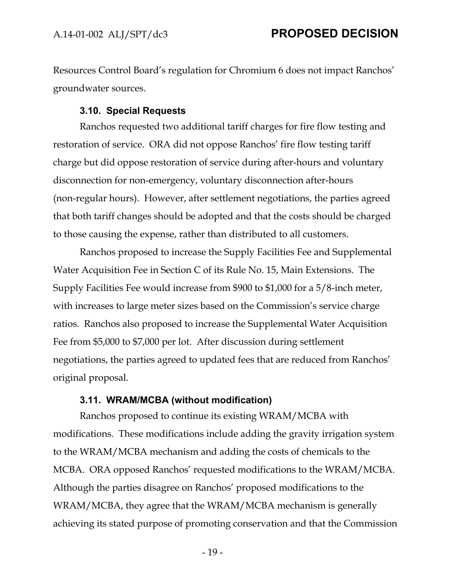Resources Control Board's regulation for Chromium 6 does not impact Ranchos' groundwater sources.

#### **3.10. Special Requests**

Ranchos requested two additional tariff charges for fire flow testing and restoration of service. ORA did not oppose Ranchos' fire flow testing tariff charge but did oppose restoration of service during after-hours and voluntary disconnection for non-emergency, voluntary disconnection after-hours (non-regular hours). However, after settlement negotiations, the parties agreed that both tariff changes should be adopted and that the costs should be charged to those causing the expense, rather than distributed to all customers.

Ranchos proposed to increase the Supply Facilities Fee and Supplemental Water Acquisition Fee in Section C of its Rule No. 15, Main Extensions. The Supply Facilities Fee would increase from \$900 to \$1,000 for a 5/8-inch meter, with increases to large meter sizes based on the Commission's service charge ratios. Ranchos also proposed to increase the Supplemental Water Acquisition Fee from \$5,000 to \$7,000 per lot. After discussion during settlement negotiations, the parties agreed to updated fees that are reduced from Ranchos' original proposal.

## **3.11. WRAM/MCBA (without modification)**

Ranchos proposed to continue its existing WRAM/MCBA with modifications. These modifications include adding the gravity irrigation system to the WRAM/MCBA mechanism and adding the costs of chemicals to the MCBA. ORA opposed Ranchos' requested modifications to the WRAM/MCBA. Although the parties disagree on Ranchos' proposed modifications to the WRAM/MCBA, they agree that the WRAM/MCBA mechanism is generally achieving its stated purpose of promoting conservation and that the Commission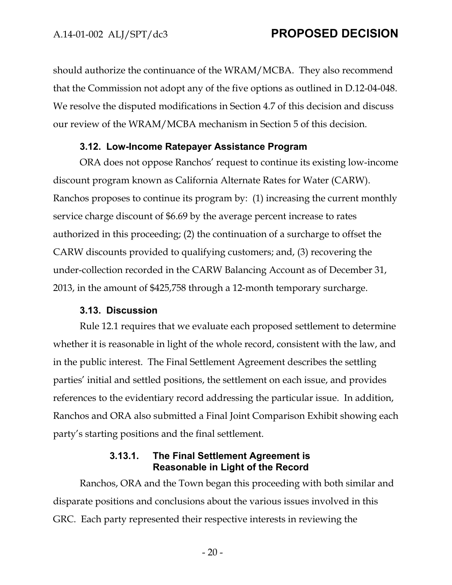should authorize the continuance of the WRAM/MCBA. They also recommend that the Commission not adopt any of the five options as outlined in D.12-04-048. We resolve the disputed modifications in Section 4.7 of this decision and discuss our review of the WRAM/MCBA mechanism in Section 5 of this decision.

#### **3.12. Low-Income Ratepayer Assistance Program**

ORA does not oppose Ranchos' request to continue its existing low-income discount program known as California Alternate Rates for Water (CARW). Ranchos proposes to continue its program by: (1) increasing the current monthly service charge discount of \$6.69 by the average percent increase to rates authorized in this proceeding; (2) the continuation of a surcharge to offset the CARW discounts provided to qualifying customers; and, (3) recovering the under-collection recorded in the CARW Balancing Account as of December 31, 2013, in the amount of \$425,758 through a 12-month temporary surcharge.

#### **3.13. Discussion**

Rule 12.1 requires that we evaluate each proposed settlement to determine whether it is reasonable in light of the whole record, consistent with the law, and in the public interest. The Final Settlement Agreement describes the settling parties' initial and settled positions, the settlement on each issue, and provides references to the evidentiary record addressing the particular issue. In addition, Ranchos and ORA also submitted a Final Joint Comparison Exhibit showing each party's starting positions and the final settlement.

### **3.13.1. The Final Settlement Agreement is Reasonable in Light of the Record**

Ranchos, ORA and the Town began this proceeding with both similar and disparate positions and conclusions about the various issues involved in this GRC. Each party represented their respective interests in reviewing the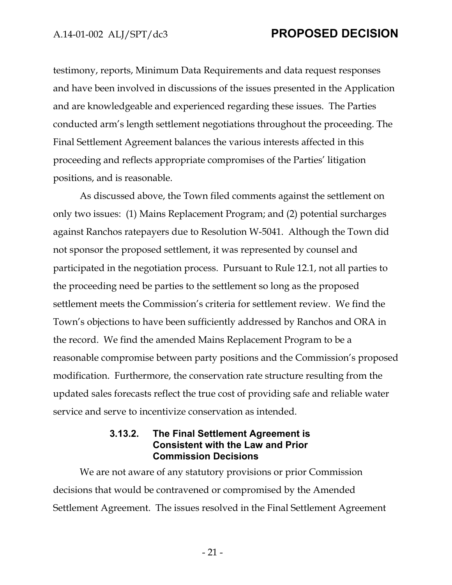testimony, reports, Minimum Data Requirements and data request responses and have been involved in discussions of the issues presented in the Application and are knowledgeable and experienced regarding these issues. The Parties conducted arm's length settlement negotiations throughout the proceeding. The Final Settlement Agreement balances the various interests affected in this proceeding and reflects appropriate compromises of the Parties' litigation positions, and is reasonable.

As discussed above, the Town filed comments against the settlement on only two issues: (1) Mains Replacement Program; and (2) potential surcharges against Ranchos ratepayers due to Resolution W-5041. Although the Town did not sponsor the proposed settlement, it was represented by counsel and participated in the negotiation process. Pursuant to Rule 12.1, not all parties to the proceeding need be parties to the settlement so long as the proposed settlement meets the Commission's criteria for settlement review. We find the Town's objections to have been sufficiently addressed by Ranchos and ORA in the record. We find the amended Mains Replacement Program to be a reasonable compromise between party positions and the Commission's proposed modification. Furthermore, the conservation rate structure resulting from the updated sales forecasts reflect the true cost of providing safe and reliable water service and serve to incentivize conservation as intended.

### **3.13.2. The Final Settlement Agreement is Consistent with the Law and Prior Commission Decisions**

We are not aware of any statutory provisions or prior Commission decisions that would be contravened or compromised by the Amended Settlement Agreement. The issues resolved in the Final Settlement Agreement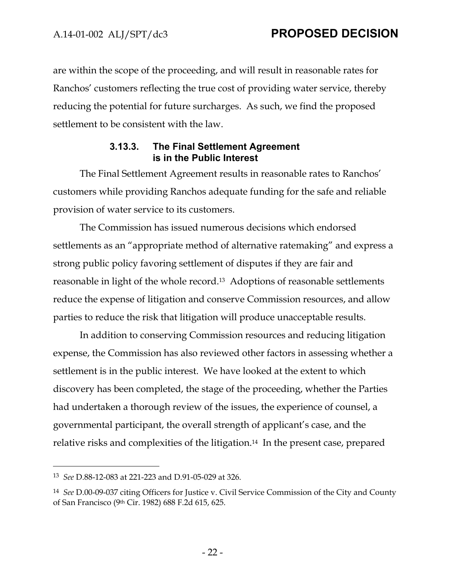are within the scope of the proceeding, and will result in reasonable rates for Ranchos' customers reflecting the true cost of providing water service, thereby reducing the potential for future surcharges. As such, we find the proposed settlement to be consistent with the law.

### **3.13.3. The Final Settlement Agreement is in the Public Interest**

The Final Settlement Agreement results in reasonable rates to Ranchos' customers while providing Ranchos adequate funding for the safe and reliable provision of water service to its customers.

The Commission has issued numerous decisions which endorsed settlements as an "appropriate method of alternative ratemaking" and express a strong public policy favoring settlement of disputes if they are fair and reasonable in light of the whole record.13 Adoptions of reasonable settlements reduce the expense of litigation and conserve Commission resources, and allow parties to reduce the risk that litigation will produce unacceptable results.

In addition to conserving Commission resources and reducing litigation expense, the Commission has also reviewed other factors in assessing whether a settlement is in the public interest. We have looked at the extent to which discovery has been completed, the stage of the proceeding, whether the Parties had undertaken a thorough review of the issues, the experience of counsel, a governmental participant, the overall strength of applicant's case, and the relative risks and complexities of the litigation.14 In the present case, prepared

<sup>13</sup> *See* D.88-12-083 at 221-223 and D.91-05-029 at 326.

<sup>14</sup> *See* D.00-09-037 citing Officers for Justice v. Civil Service Commission of the City and County of San Francisco (9th Cir. 1982) 688 F.2d 615, 625.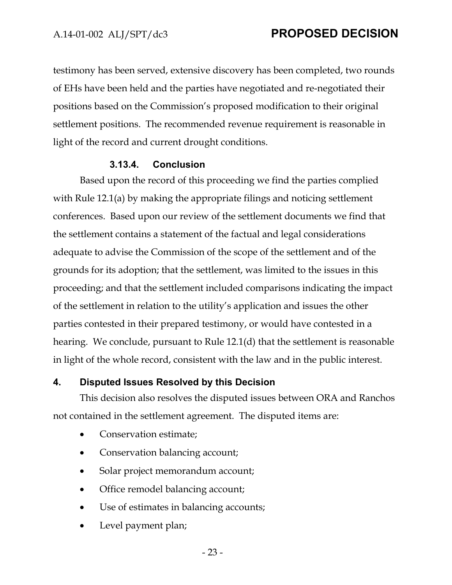testimony has been served, extensive discovery has been completed, two rounds of EHs have been held and the parties have negotiated and re-negotiated their positions based on the Commission's proposed modification to their original settlement positions. The recommended revenue requirement is reasonable in light of the record and current drought conditions.

#### **3.13.4. Conclusion**

Based upon the record of this proceeding we find the parties complied with Rule 12.1(a) by making the appropriate filings and noticing settlement conferences. Based upon our review of the settlement documents we find that the settlement contains a statement of the factual and legal considerations adequate to advise the Commission of the scope of the settlement and of the grounds for its adoption; that the settlement, was limited to the issues in this proceeding; and that the settlement included comparisons indicating the impact of the settlement in relation to the utility's application and issues the other parties contested in their prepared testimony, or would have contested in a hearing. We conclude, pursuant to Rule 12.1(d) that the settlement is reasonable in light of the whole record, consistent with the law and in the public interest.

#### **4. Disputed Issues Resolved by this Decision**

This decision also resolves the disputed issues between ORA and Ranchos not contained in the settlement agreement. The disputed items are:

- Conservation estimate;
- Conservation balancing account;
- Solar project memorandum account;
- Office remodel balancing account;
- Use of estimates in balancing accounts;
- Level payment plan;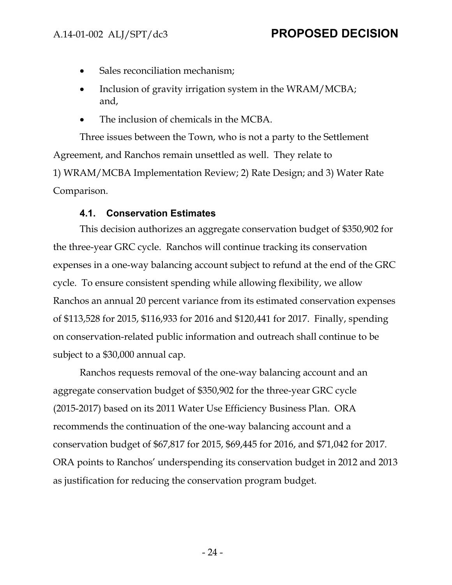- Sales reconciliation mechanism;
- Inclusion of gravity irrigation system in the WRAM/MCBA; and,
- The inclusion of chemicals in the MCBA.

Three issues between the Town, who is not a party to the Settlement Agreement, and Ranchos remain unsettled as well. They relate to 1) WRAM/MCBA Implementation Review; 2) Rate Design; and 3) Water Rate Comparison.

## **4.1. Conservation Estimates**

This decision authorizes an aggregate conservation budget of \$350,902 for the three-year GRC cycle. Ranchos will continue tracking its conservation expenses in a one-way balancing account subject to refund at the end of the GRC cycle. To ensure consistent spending while allowing flexibility, we allow Ranchos an annual 20 percent variance from its estimated conservation expenses of \$113,528 for 2015, \$116,933 for 2016 and \$120,441 for 2017. Finally, spending on conservation-related public information and outreach shall continue to be subject to a \$30,000 annual cap.

Ranchos requests removal of the one-way balancing account and an aggregate conservation budget of \$350,902 for the three-year GRC cycle (2015-2017) based on its 2011 Water Use Efficiency Business Plan. ORA recommends the continuation of the one-way balancing account and a conservation budget of \$67,817 for 2015, \$69,445 for 2016, and \$71,042 for 2017. ORA points to Ranchos' underspending its conservation budget in 2012 and 2013 as justification for reducing the conservation program budget.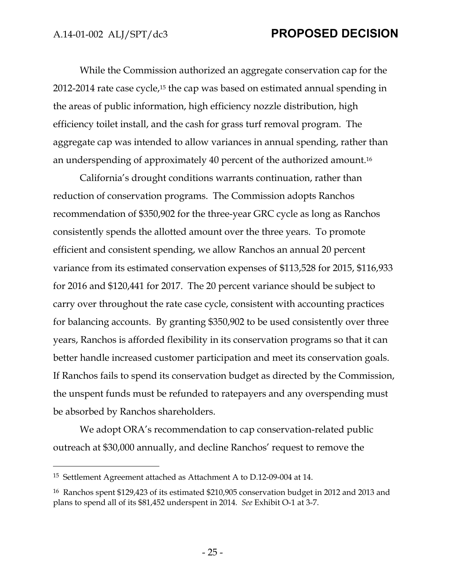While the Commission authorized an aggregate conservation cap for the 2012-2014 rate case cycle,15 the cap was based on estimated annual spending in the areas of public information, high efficiency nozzle distribution, high efficiency toilet install, and the cash for grass turf removal program. The aggregate cap was intended to allow variances in annual spending, rather than an underspending of approximately 40 percent of the authorized amount.16

California's drought conditions warrants continuation, rather than reduction of conservation programs. The Commission adopts Ranchos recommendation of \$350,902 for the three-year GRC cycle as long as Ranchos consistently spends the allotted amount over the three years. To promote efficient and consistent spending, we allow Ranchos an annual 20 percent variance from its estimated conservation expenses of \$113,528 for 2015, \$116,933 for 2016 and \$120,441 for 2017. The 20 percent variance should be subject to carry over throughout the rate case cycle, consistent with accounting practices for balancing accounts. By granting \$350,902 to be used consistently over three years, Ranchos is afforded flexibility in its conservation programs so that it can better handle increased customer participation and meet its conservation goals. If Ranchos fails to spend its conservation budget as directed by the Commission, the unspent funds must be refunded to ratepayers and any overspending must be absorbed by Ranchos shareholders.

We adopt ORA's recommendation to cap conservation-related public outreach at \$30,000 annually, and decline Ranchos' request to remove the

<sup>15</sup> Settlement Agreement attached as Attachment A to D.12-09-004 at 14.

<sup>16</sup> Ranchos spent \$129,423 of its estimated \$210,905 conservation budget in 2012 and 2013 and plans to spend all of its \$81,452 underspent in 2014. *See* Exhibit O-1 at 3-7.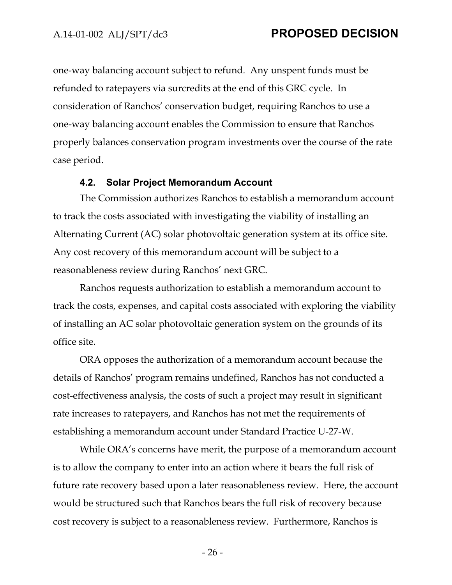one-way balancing account subject to refund. Any unspent funds must be refunded to ratepayers via surcredits at the end of this GRC cycle. In consideration of Ranchos' conservation budget, requiring Ranchos to use a one-way balancing account enables the Commission to ensure that Ranchos properly balances conservation program investments over the course of the rate case period.

#### **4.2. Solar Project Memorandum Account**

The Commission authorizes Ranchos to establish a memorandum account to track the costs associated with investigating the viability of installing an Alternating Current (AC) solar photovoltaic generation system at its office site. Any cost recovery of this memorandum account will be subject to a reasonableness review during Ranchos' next GRC.

Ranchos requests authorization to establish a memorandum account to track the costs, expenses, and capital costs associated with exploring the viability of installing an AC solar photovoltaic generation system on the grounds of its office site.

ORA opposes the authorization of a memorandum account because the details of Ranchos' program remains undefined, Ranchos has not conducted a cost-effectiveness analysis, the costs of such a project may result in significant rate increases to ratepayers, and Ranchos has not met the requirements of establishing a memorandum account under Standard Practice U-27-W.

While ORA's concerns have merit, the purpose of a memorandum account is to allow the company to enter into an action where it bears the full risk of future rate recovery based upon a later reasonableness review. Here, the account would be structured such that Ranchos bears the full risk of recovery because cost recovery is subject to a reasonableness review. Furthermore, Ranchos is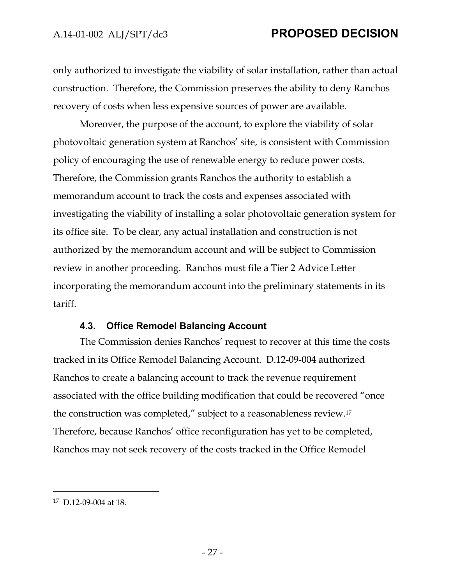only authorized to investigate the viability of solar installation, rather than actual construction. Therefore, the Commission preserves the ability to deny Ranchos recovery of costs when less expensive sources of power are available.

Moreover, the purpose of the account, to explore the viability of solar photovoltaic generation system at Ranchos' site, is consistent with Commission policy of encouraging the use of renewable energy to reduce power costs. Therefore, the Commission grants Ranchos the authority to establish a memorandum account to track the costs and expenses associated with investigating the viability of installing a solar photovoltaic generation system for its office site. To be clear, any actual installation and construction is not authorized by the memorandum account and will be subject to Commission review in another proceeding. Ranchos must file a Tier 2 Advice Letter incorporating the memorandum account into the preliminary statements in its tariff.

#### **4.3. Office Remodel Balancing Account**

The Commission denies Ranchos' request to recover at this time the costs tracked in its Office Remodel Balancing Account. D.12-09-004 authorized Ranchos to create a balancing account to track the revenue requirement associated with the office building modification that could be recovered "once the construction was completed," subject to a reasonableness review.17 Therefore, because Ranchos' office reconfiguration has yet to be completed, Ranchos may not seek recovery of the costs tracked in the Office Remodel

<sup>17</sup> D.12-09-004 at 18.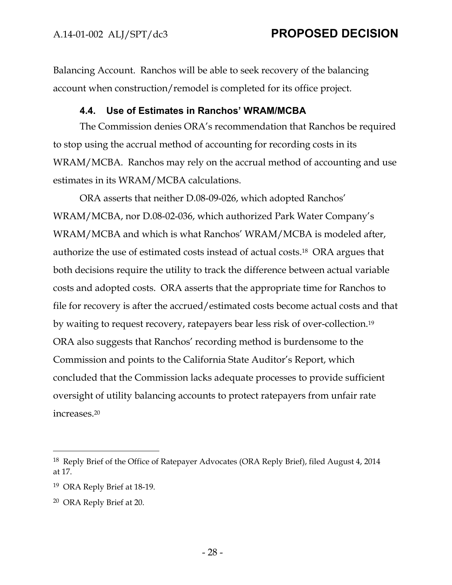Balancing Account. Ranchos will be able to seek recovery of the balancing account when construction/remodel is completed for its office project.

#### **4.4. Use of Estimates in Ranchos' WRAM/MCBA**

The Commission denies ORA's recommendation that Ranchos be required to stop using the accrual method of accounting for recording costs in its WRAM/MCBA. Ranchos may rely on the accrual method of accounting and use estimates in its WRAM/MCBA calculations.

ORA asserts that neither D.08-09-026, which adopted Ranchos' WRAM/MCBA, nor D.08-02-036, which authorized Park Water Company's WRAM/MCBA and which is what Ranchos' WRAM/MCBA is modeled after, authorize the use of estimated costs instead of actual costs.18 ORA argues that both decisions require the utility to track the difference between actual variable costs and adopted costs. ORA asserts that the appropriate time for Ranchos to file for recovery is after the accrued/estimated costs become actual costs and that by waiting to request recovery, ratepayers bear less risk of over-collection.19 ORA also suggests that Ranchos' recording method is burdensome to the Commission and points to the California State Auditor's Report, which concluded that the Commission lacks adequate processes to provide sufficient oversight of utility balancing accounts to protect ratepayers from unfair rate increases.20

<sup>18</sup> Reply Brief of the Office of Ratepayer Advocates (ORA Reply Brief), filed August 4, 2014 at 17.

<sup>19</sup> ORA Reply Brief at 18-19.

<sup>20</sup> ORA Reply Brief at 20.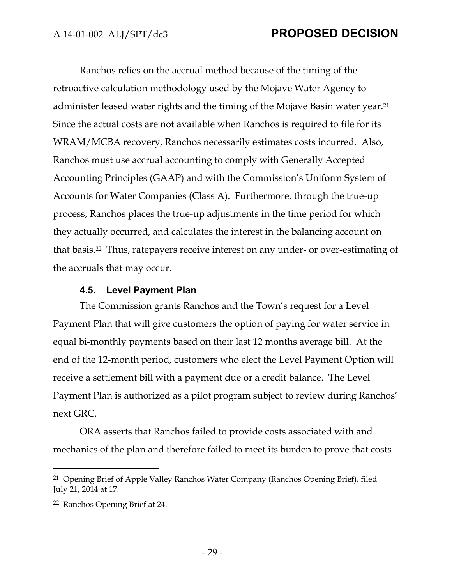Ranchos relies on the accrual method because of the timing of the retroactive calculation methodology used by the Mojave Water Agency to administer leased water rights and the timing of the Mojave Basin water year.21 Since the actual costs are not available when Ranchos is required to file for its WRAM/MCBA recovery, Ranchos necessarily estimates costs incurred. Also, Ranchos must use accrual accounting to comply with Generally Accepted Accounting Principles (GAAP) and with the Commission's Uniform System of Accounts for Water Companies (Class A). Furthermore, through the true-up process, Ranchos places the true-up adjustments in the time period for which they actually occurred, and calculates the interest in the balancing account on that basis.22 Thus, ratepayers receive interest on any under- or over-estimating of the accruals that may occur.

#### **4.5. Level Payment Plan**

The Commission grants Ranchos and the Town's request for a Level Payment Plan that will give customers the option of paying for water service in equal bi-monthly payments based on their last 12 months average bill. At the end of the 12-month period, customers who elect the Level Payment Option will receive a settlement bill with a payment due or a credit balance. The Level Payment Plan is authorized as a pilot program subject to review during Ranchos' next GRC.

ORA asserts that Ranchos failed to provide costs associated with and mechanics of the plan and therefore failed to meet its burden to prove that costs

<sup>21</sup> Opening Brief of Apple Valley Ranchos Water Company (Ranchos Opening Brief), filed July 21, 2014 at 17.

<sup>22</sup> Ranchos Opening Brief at 24.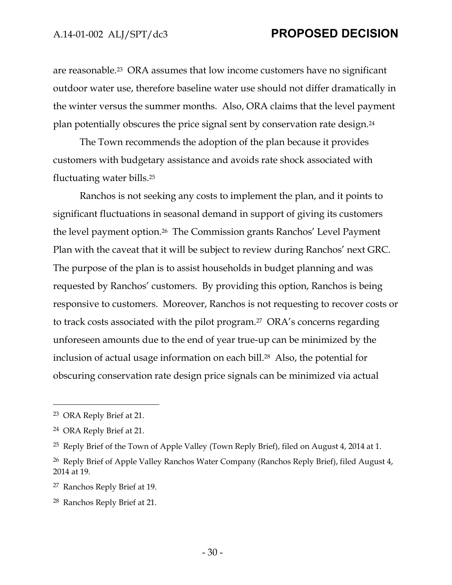are reasonable.23 ORA assumes that low income customers have no significant outdoor water use, therefore baseline water use should not differ dramatically in the winter versus the summer months. Also, ORA claims that the level payment plan potentially obscures the price signal sent by conservation rate design.24

The Town recommends the adoption of the plan because it provides customers with budgetary assistance and avoids rate shock associated with fluctuating water bills.25

Ranchos is not seeking any costs to implement the plan, and it points to significant fluctuations in seasonal demand in support of giving its customers the level payment option.26 The Commission grants Ranchos' Level Payment Plan with the caveat that it will be subject to review during Ranchos' next GRC. The purpose of the plan is to assist households in budget planning and was requested by Ranchos' customers. By providing this option, Ranchos is being responsive to customers. Moreover, Ranchos is not requesting to recover costs or to track costs associated with the pilot program.27 ORA's concerns regarding unforeseen amounts due to the end of year true-up can be minimized by the inclusion of actual usage information on each bill.<sup>28</sup> Also, the potential for obscuring conservation rate design price signals can be minimized via actual

<sup>23</sup> ORA Reply Brief at 21.

<sup>24</sup> ORA Reply Brief at 21.

<sup>&</sup>lt;sup>25</sup> Reply Brief of the Town of Apple Valley (Town Reply Brief), filed on August 4, 2014 at 1.

<sup>&</sup>lt;sup>26</sup> Reply Brief of Apple Valley Ranchos Water Company (Ranchos Reply Brief), filed August 4, 2014 at 19.

<sup>27</sup> Ranchos Reply Brief at 19.

<sup>28</sup> Ranchos Reply Brief at 21.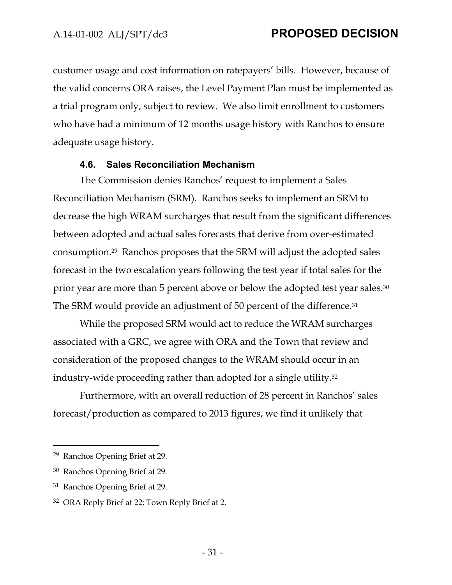customer usage and cost information on ratepayers' bills. However, because of the valid concerns ORA raises, the Level Payment Plan must be implemented as a trial program only, subject to review. We also limit enrollment to customers who have had a minimum of 12 months usage history with Ranchos to ensure adequate usage history.

#### **4.6. Sales Reconciliation Mechanism**

The Commission denies Ranchos' request to implement a Sales Reconciliation Mechanism (SRM). Ranchos seeks to implement an SRM to decrease the high WRAM surcharges that result from the significant differences between adopted and actual sales forecasts that derive from over-estimated consumption.29 Ranchos proposes that the SRM will adjust the adopted sales forecast in the two escalation years following the test year if total sales for the prior year are more than 5 percent above or below the adopted test year sales.30 The SRM would provide an adjustment of 50 percent of the difference.31

While the proposed SRM would act to reduce the WRAM surcharges associated with a GRC, we agree with ORA and the Town that review and consideration of the proposed changes to the WRAM should occur in an industry-wide proceeding rather than adopted for a single utility.32

Furthermore, with an overall reduction of 28 percent in Ranchos' sales forecast/production as compared to 2013 figures, we find it unlikely that

<sup>29</sup> Ranchos Opening Brief at 29.

<sup>30</sup> Ranchos Opening Brief at 29.

<sup>31</sup> Ranchos Opening Brief at 29.

<sup>32</sup> ORA Reply Brief at 22; Town Reply Brief at 2.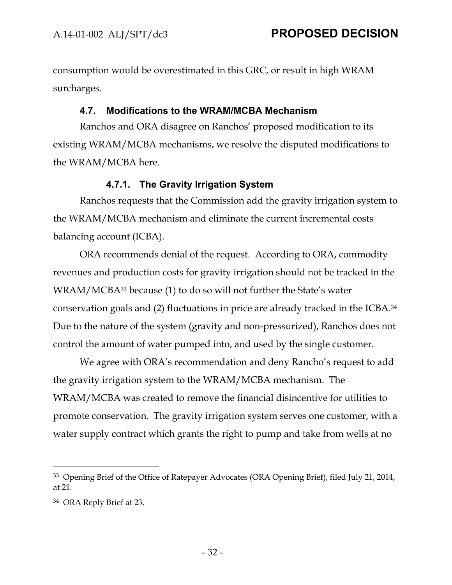consumption would be overestimated in this GRC, or result in high WRAM surcharges.

#### **4.7. Modifications to the WRAM/MCBA Mechanism**

Ranchos and ORA disagree on Ranchos' proposed modification to its existing WRAM/MCBA mechanisms, we resolve the disputed modifications to the WRAM/MCBA here.

### **4.7.1. The Gravity Irrigation System**

Ranchos requests that the Commission add the gravity irrigation system to the WRAM/MCBA mechanism and eliminate the current incremental costs balancing account (ICBA).

ORA recommends denial of the request. According to ORA, commodity revenues and production costs for gravity irrigation should not be tracked in the WRAM/MCBA33 because (1) to do so will not further the State's water conservation goals and (2) fluctuations in price are already tracked in the ICBA.34 Due to the nature of the system (gravity and non-pressurized), Ranchos does not control the amount of water pumped into, and used by the single customer.

We agree with ORA's recommendation and deny Rancho's request to add the gravity irrigation system to the WRAM/MCBA mechanism. The WRAM/MCBA was created to remove the financial disincentive for utilities to promote conservation. The gravity irrigation system serves one customer, with a water supply contract which grants the right to pump and take from wells at no

<sup>33</sup> Opening Brief of the Office of Ratepayer Advocates (ORA Opening Brief), filed July 21, 2014, at 21.

<sup>34</sup> ORA Reply Brief at 23.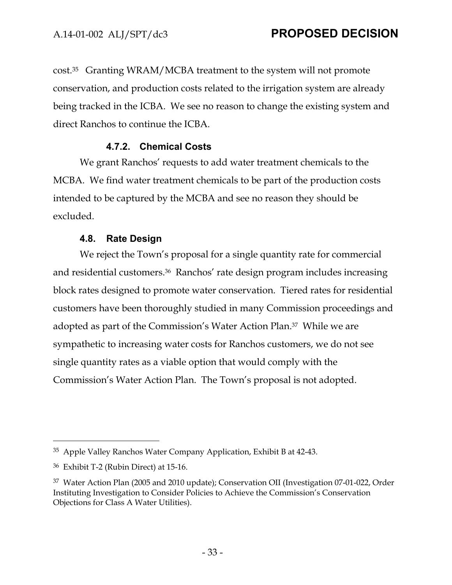cost.35 Granting WRAM/MCBA treatment to the system will not promote conservation, and production costs related to the irrigation system are already being tracked in the ICBA. We see no reason to change the existing system and direct Ranchos to continue the ICBA.

### **4.7.2. Chemical Costs**

We grant Ranchos' requests to add water treatment chemicals to the MCBA. We find water treatment chemicals to be part of the production costs intended to be captured by the MCBA and see no reason they should be excluded.

### **4.8. Rate Design**

We reject the Town's proposal for a single quantity rate for commercial and residential customers.36 Ranchos' rate design program includes increasing block rates designed to promote water conservation. Tiered rates for residential customers have been thoroughly studied in many Commission proceedings and adopted as part of the Commission's Water Action Plan.37 While we are sympathetic to increasing water costs for Ranchos customers, we do not see single quantity rates as a viable option that would comply with the Commission's Water Action Plan. The Town's proposal is not adopted.

<sup>35</sup> Apple Valley Ranchos Water Company Application, Exhibit B at 42-43.

<sup>36</sup> Exhibit T-2 (Rubin Direct) at 15-16.

<sup>37</sup> Water Action Plan (2005 and 2010 update); Conservation OII (Investigation 07-01-022, Order Instituting Investigation to Consider Policies to Achieve the Commission's Conservation Objections for Class A Water Utilities).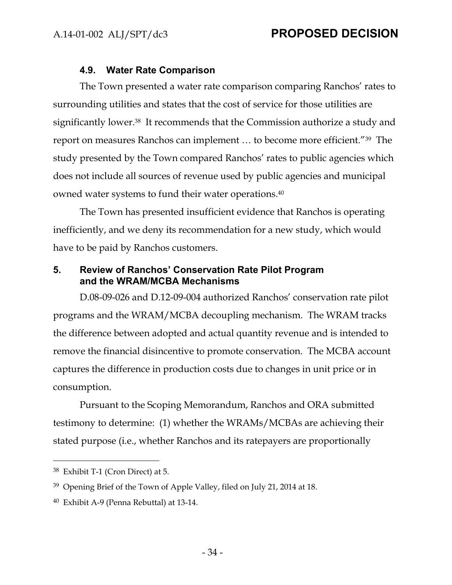#### **4.9. Water Rate Comparison**

The Town presented a water rate comparison comparing Ranchos' rates to surrounding utilities and states that the cost of service for those utilities are significantly lower.38 It recommends that the Commission authorize a study and report on measures Ranchos can implement … to become more efficient."39 The study presented by the Town compared Ranchos' rates to public agencies which does not include all sources of revenue used by public agencies and municipal owned water systems to fund their water operations.40

The Town has presented insufficient evidence that Ranchos is operating inefficiently, and we deny its recommendation for a new study, which would have to be paid by Ranchos customers.

## **5. Review of Ranchos' Conservation Rate Pilot Program and the WRAM/MCBA Mechanisms**

D.08-09-026 and D.12-09-004 authorized Ranchos' conservation rate pilot programs and the WRAM/MCBA decoupling mechanism. The WRAM tracks the difference between adopted and actual quantity revenue and is intended to remove the financial disincentive to promote conservation. The MCBA account captures the difference in production costs due to changes in unit price or in consumption.

Pursuant to the Scoping Memorandum, Ranchos and ORA submitted testimony to determine: (1) whether the WRAMs/MCBAs are achieving their stated purpose (i.e., whether Ranchos and its ratepayers are proportionally

<sup>38</sup> Exhibit T-1 (Cron Direct) at 5.

<sup>&</sup>lt;sup>39</sup> Opening Brief of the Town of Apple Valley, filed on July 21, 2014 at 18.

<sup>40</sup> Exhibit A-9 (Penna Rebuttal) at 13-14.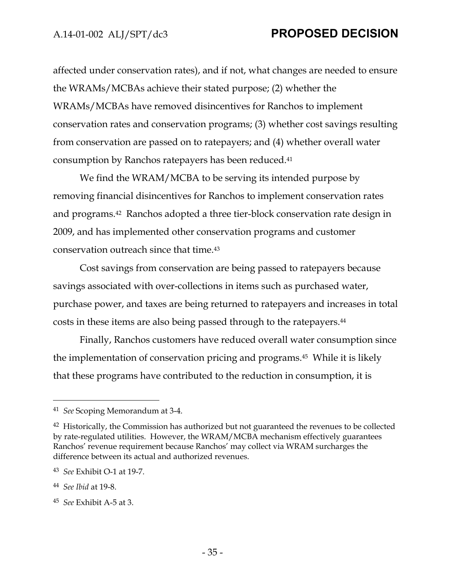affected under conservation rates), and if not, what changes are needed to ensure the WRAMs/MCBAs achieve their stated purpose; (2) whether the WRAMs/MCBAs have removed disincentives for Ranchos to implement conservation rates and conservation programs; (3) whether cost savings resulting from conservation are passed on to ratepayers; and (4) whether overall water consumption by Ranchos ratepayers has been reduced.41

We find the WRAM/MCBA to be serving its intended purpose by removing financial disincentives for Ranchos to implement conservation rates and programs.42 Ranchos adopted a three tier-block conservation rate design in 2009, and has implemented other conservation programs and customer conservation outreach since that time.43

Cost savings from conservation are being passed to ratepayers because savings associated with over-collections in items such as purchased water, purchase power, and taxes are being returned to ratepayers and increases in total costs in these items are also being passed through to the ratepayers.44

Finally, Ranchos customers have reduced overall water consumption since the implementation of conservation pricing and programs.45 While it is likely that these programs have contributed to the reduction in consumption, it is

<sup>41</sup> *See* Scoping Memorandum at 3-4.

<sup>&</sup>lt;sup>42</sup> Historically, the Commission has authorized but not guaranteed the revenues to be collected by rate-regulated utilities. However, the WRAM/MCBA mechanism effectively guarantees Ranchos' revenue requirement because Ranchos' may collect via WRAM surcharges the difference between its actual and authorized revenues.

<sup>43</sup> *See* Exhibit O-1 at 19-7.

<sup>44</sup> *See Ibid* at 19-8.

<sup>45</sup> *See* Exhibit A-5 at 3.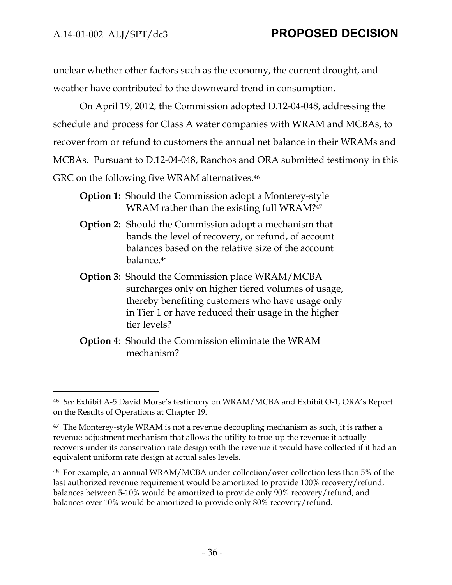$\overline{a}$ 

unclear whether other factors such as the economy, the current drought, and weather have contributed to the downward trend in consumption.

On April 19, 2012, the Commission adopted D.12-04-048, addressing the schedule and process for Class A water companies with WRAM and MCBAs, to recover from or refund to customers the annual net balance in their WRAMs and MCBAs. Pursuant to D.12-04-048, Ranchos and ORA submitted testimony in this GRC on the following five WRAM alternatives.<sup>46</sup>

- **Option 1:** Should the Commission adopt a Monterey-style WRAM rather than the existing full WRAM?<sup>47</sup>
- **Option 2:** Should the Commission adopt a mechanism that bands the level of recovery, or refund, of account balances based on the relative size of the account balance.48
- **Option 3**: Should the Commission place WRAM/MCBA surcharges only on higher tiered volumes of usage, thereby benefiting customers who have usage only in Tier 1 or have reduced their usage in the higher tier levels?
- **Option 4**: Should the Commission eliminate the WRAM mechanism?

<sup>46</sup> *See* Exhibit A-5 David Morse's testimony on WRAM/MCBA and Exhibit O-1, ORA's Report on the Results of Operations at Chapter 19.

 $47$  The Monterey-style WRAM is not a revenue decoupling mechanism as such, it is rather a revenue adjustment mechanism that allows the utility to true-up the revenue it actually recovers under its conservation rate design with the revenue it would have collected if it had an equivalent uniform rate design at actual sales levels.

<sup>48</sup> For example, an annual WRAM/MCBA under-collection/over-collection less than 5% of the last authorized revenue requirement would be amortized to provide 100% recovery/refund, balances between 5-10% would be amortized to provide only 90% recovery/refund, and balances over 10% would be amortized to provide only 80% recovery/refund.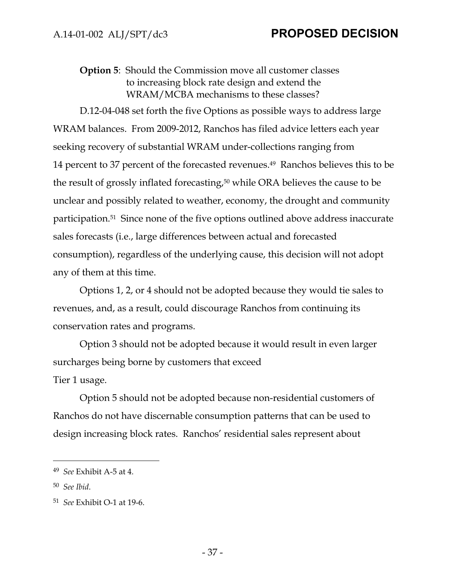## **Option 5**: Should the Commission move all customer classes to increasing block rate design and extend the WRAM/MCBA mechanisms to these classes?

D.12-04-048 set forth the five Options as possible ways to address large WRAM balances. From 2009-2012, Ranchos has filed advice letters each year seeking recovery of substantial WRAM under-collections ranging from 14 percent to 37 percent of the forecasted revenues.49 Ranchos believes this to be the result of grossly inflated forecasting,50 while ORA believes the cause to be unclear and possibly related to weather, economy, the drought and community participation.51 Since none of the five options outlined above address inaccurate sales forecasts (i.e., large differences between actual and forecasted consumption), regardless of the underlying cause, this decision will not adopt any of them at this time.

Options 1, 2, or 4 should not be adopted because they would tie sales to revenues, and, as a result, could discourage Ranchos from continuing its conservation rates and programs.

Option 3 should not be adopted because it would result in even larger surcharges being borne by customers that exceed Tier 1 usage.

Option 5 should not be adopted because non-residential customers of Ranchos do not have discernable consumption patterns that can be used to design increasing block rates. Ranchos' residential sales represent about

<sup>49</sup> *See* Exhibit A-5 at 4.

<sup>50</sup> *See Ibid*.

<sup>51</sup> *See* Exhibit O-1 at 19-6.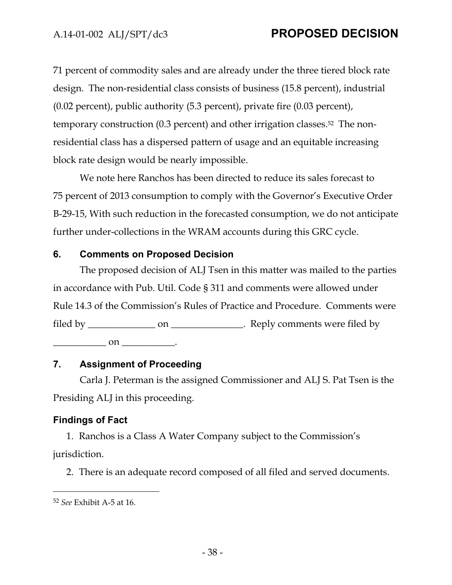71 percent of commodity sales and are already under the three tiered block rate design. The non-residential class consists of business (15.8 percent), industrial (0.02 percent), public authority (5.3 percent), private fire (0.03 percent), temporary construction (0.3 percent) and other irrigation classes.52 The nonresidential class has a dispersed pattern of usage and an equitable increasing block rate design would be nearly impossible.

We note here Ranchos has been directed to reduce its sales forecast to 75 percent of 2013 consumption to comply with the Governor's Executive Order B-29-15, With such reduction in the forecasted consumption, we do not anticipate further under-collections in the WRAM accounts during this GRC cycle.

#### **6. Comments on Proposed Decision**

The proposed decision of ALJ Tsen in this matter was mailed to the parties in accordance with Pub. Util. Code § 311 and comments were allowed under Rule 14.3 of the Commission's Rules of Practice and Procedure. Comments were filed by \_\_\_\_\_\_\_\_\_\_\_\_\_\_\_\_\_\_ on \_\_\_\_\_\_\_\_\_\_\_\_\_\_. Reply comments were filed by

 $\Box$  on  $\Box$ .

## **7. Assignment of Proceeding**

Carla J. Peterman is the assigned Commissioner and ALJ S. Pat Tsen is the Presiding ALJ in this proceeding.

# **Findings of Fact**

1. Ranchos is a Class A Water Company subject to the Commission's jurisdiction.

2. There is an adequate record composed of all filed and served documents.

<sup>52</sup> *See* Exhibit A-5 at 16.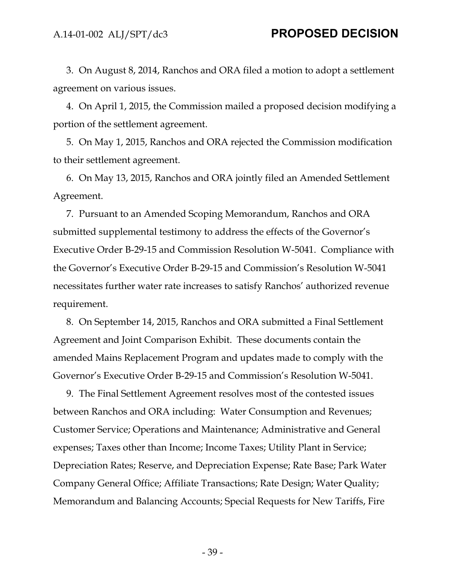3. On August 8, 2014, Ranchos and ORA filed a motion to adopt a settlement agreement on various issues.

4. On April 1, 2015, the Commission mailed a proposed decision modifying a portion of the settlement agreement.

5. On May 1, 2015, Ranchos and ORA rejected the Commission modification to their settlement agreement.

6. On May 13, 2015, Ranchos and ORA jointly filed an Amended Settlement Agreement.

7. Pursuant to an Amended Scoping Memorandum, Ranchos and ORA submitted supplemental testimony to address the effects of the Governor's Executive Order B-29-15 and Commission Resolution W-5041. Compliance with the Governor's Executive Order B-29-15 and Commission's Resolution W-5041 necessitates further water rate increases to satisfy Ranchos' authorized revenue requirement.

8. On September 14, 2015, Ranchos and ORA submitted a Final Settlement Agreement and Joint Comparison Exhibit. These documents contain the amended Mains Replacement Program and updates made to comply with the Governor's Executive Order B-29-15 and Commission's Resolution W-5041.

9. The Final Settlement Agreement resolves most of the contested issues between Ranchos and ORA including: Water Consumption and Revenues; Customer Service; Operations and Maintenance; Administrative and General expenses; Taxes other than Income; Income Taxes; Utility Plant in Service; Depreciation Rates; Reserve, and Depreciation Expense; Rate Base; Park Water Company General Office; Affiliate Transactions; Rate Design; Water Quality; Memorandum and Balancing Accounts; Special Requests for New Tariffs, Fire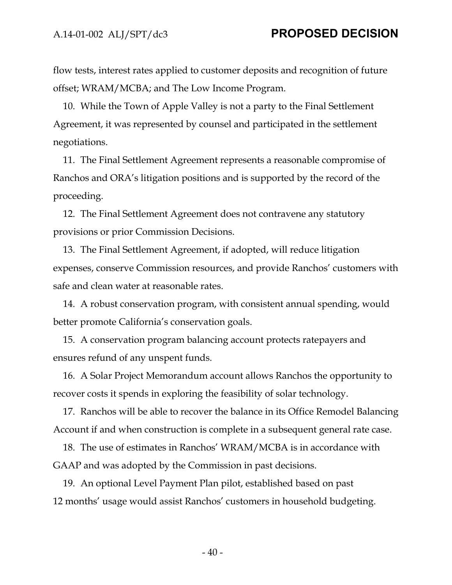flow tests, interest rates applied to customer deposits and recognition of future offset; WRAM/MCBA; and The Low Income Program.

10. While the Town of Apple Valley is not a party to the Final Settlement Agreement, it was represented by counsel and participated in the settlement negotiations.

11. The Final Settlement Agreement represents a reasonable compromise of Ranchos and ORA's litigation positions and is supported by the record of the proceeding.

12. The Final Settlement Agreement does not contravene any statutory provisions or prior Commission Decisions.

13. The Final Settlement Agreement, if adopted, will reduce litigation expenses, conserve Commission resources, and provide Ranchos' customers with safe and clean water at reasonable rates.

14. A robust conservation program, with consistent annual spending, would better promote California's conservation goals.

15. A conservation program balancing account protects ratepayers and ensures refund of any unspent funds.

16. A Solar Project Memorandum account allows Ranchos the opportunity to recover costs it spends in exploring the feasibility of solar technology.

17. Ranchos will be able to recover the balance in its Office Remodel Balancing Account if and when construction is complete in a subsequent general rate case.

18. The use of estimates in Ranchos' WRAM/MCBA is in accordance with GAAP and was adopted by the Commission in past decisions.

19. An optional Level Payment Plan pilot, established based on past 12 months' usage would assist Ranchos' customers in household budgeting.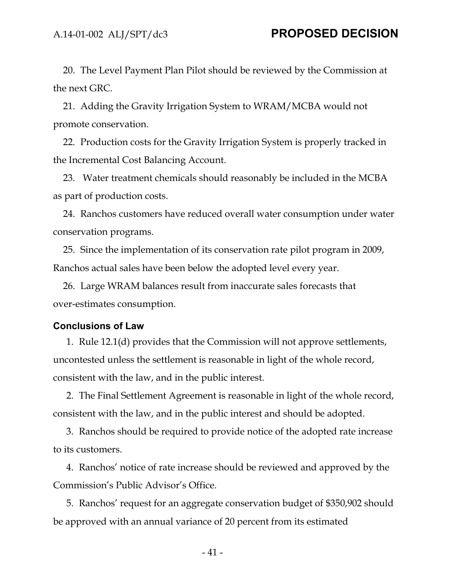20. The Level Payment Plan Pilot should be reviewed by the Commission at the next GRC.

21. Adding the Gravity Irrigation System to WRAM/MCBA would not promote conservation.

22. Production costs for the Gravity Irrigation System is properly tracked in the Incremental Cost Balancing Account.

23. Water treatment chemicals should reasonably be included in the MCBA as part of production costs.

24. Ranchos customers have reduced overall water consumption under water conservation programs.

25. Since the implementation of its conservation rate pilot program in 2009, Ranchos actual sales have been below the adopted level every year.

26. Large WRAM balances result from inaccurate sales forecasts that over-estimates consumption.

#### **Conclusions of Law**

1. Rule 12.1(d) provides that the Commission will not approve settlements, uncontested unless the settlement is reasonable in light of the whole record, consistent with the law, and in the public interest.

2. The Final Settlement Agreement is reasonable in light of the whole record, consistent with the law, and in the public interest and should be adopted.

3. Ranchos should be required to provide notice of the adopted rate increase to its customers.

4. Ranchos' notice of rate increase should be reviewed and approved by the Commission's Public Advisor's Office.

5. Ranchos' request for an aggregate conservation budget of \$350,902 should be approved with an annual variance of 20 percent from its estimated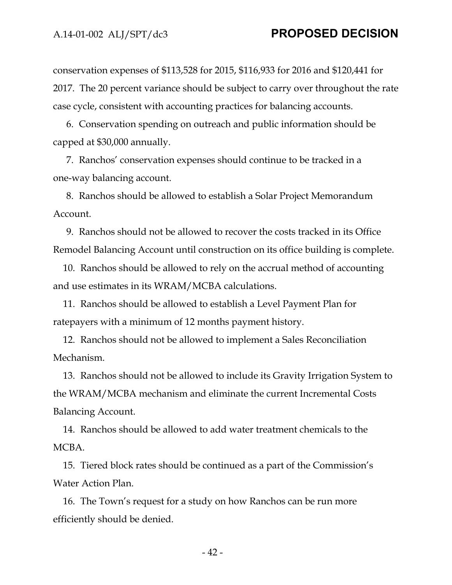conservation expenses of \$113,528 for 2015, \$116,933 for 2016 and \$120,441 for 2017. The 20 percent variance should be subject to carry over throughout the rate case cycle, consistent with accounting practices for balancing accounts.

6. Conservation spending on outreach and public information should be capped at \$30,000 annually.

7. Ranchos' conservation expenses should continue to be tracked in a one-way balancing account.

8. Ranchos should be allowed to establish a Solar Project Memorandum Account.

9. Ranchos should not be allowed to recover the costs tracked in its Office Remodel Balancing Account until construction on its office building is complete.

10. Ranchos should be allowed to rely on the accrual method of accounting and use estimates in its WRAM/MCBA calculations.

11. Ranchos should be allowed to establish a Level Payment Plan for ratepayers with a minimum of 12 months payment history.

12. Ranchos should not be allowed to implement a Sales Reconciliation Mechanism.

13. Ranchos should not be allowed to include its Gravity Irrigation System to the WRAM/MCBA mechanism and eliminate the current Incremental Costs Balancing Account.

14. Ranchos should be allowed to add water treatment chemicals to the MCBA.

15. Tiered block rates should be continued as a part of the Commission's Water Action Plan.

16. The Town's request for a study on how Ranchos can be run more efficiently should be denied.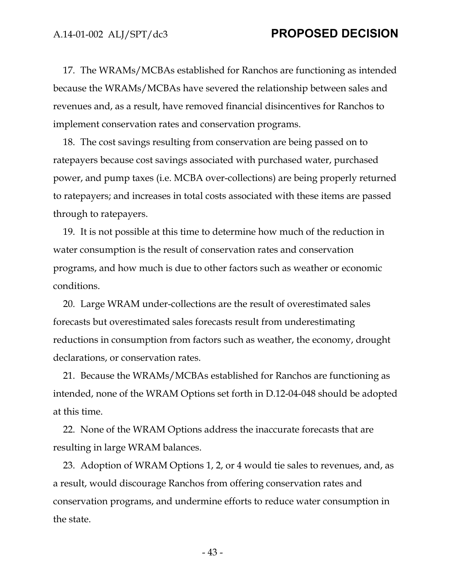17. The WRAMs/MCBAs established for Ranchos are functioning as intended because the WRAMs/MCBAs have severed the relationship between sales and revenues and, as a result, have removed financial disincentives for Ranchos to implement conservation rates and conservation programs.

18. The cost savings resulting from conservation are being passed on to ratepayers because cost savings associated with purchased water, purchased power, and pump taxes (i.e. MCBA over-collections) are being properly returned to ratepayers; and increases in total costs associated with these items are passed through to ratepayers.

19. It is not possible at this time to determine how much of the reduction in water consumption is the result of conservation rates and conservation programs, and how much is due to other factors such as weather or economic conditions.

20. Large WRAM under-collections are the result of overestimated sales forecasts but overestimated sales forecasts result from underestimating reductions in consumption from factors such as weather, the economy, drought declarations, or conservation rates.

21. Because the WRAMs/MCBAs established for Ranchos are functioning as intended, none of the WRAM Options set forth in D.12-04-048 should be adopted at this time.

22. None of the WRAM Options address the inaccurate forecasts that are resulting in large WRAM balances.

23. Adoption of WRAM Options 1, 2, or 4 would tie sales to revenues, and, as a result, would discourage Ranchos from offering conservation rates and conservation programs, and undermine efforts to reduce water consumption in the state.

- 43 -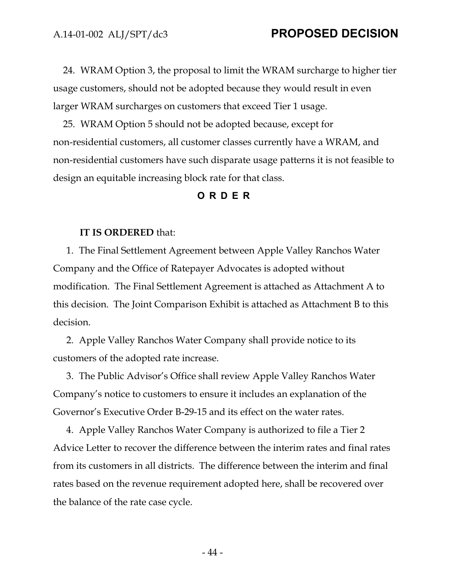24. WRAM Option 3, the proposal to limit the WRAM surcharge to higher tier usage customers, should not be adopted because they would result in even larger WRAM surcharges on customers that exceed Tier 1 usage.

25. WRAM Option 5 should not be adopted because, except for non-residential customers, all customer classes currently have a WRAM, and non-residential customers have such disparate usage patterns it is not feasible to design an equitable increasing block rate for that class.

### **ORDER**

#### **IT IS ORDERED** that:

1. The Final Settlement Agreement between Apple Valley Ranchos Water Company and the Office of Ratepayer Advocates is adopted without modification. The Final Settlement Agreement is attached as Attachment A to this decision. The Joint Comparison Exhibit is attached as Attachment B to this decision.

2. Apple Valley Ranchos Water Company shall provide notice to its customers of the adopted rate increase.

3. The Public Advisor's Office shall review Apple Valley Ranchos Water Company's notice to customers to ensure it includes an explanation of the Governor's Executive Order B-29-15 and its effect on the water rates.

4. Apple Valley Ranchos Water Company is authorized to file a Tier 2 Advice Letter to recover the difference between the interim rates and final rates from its customers in all districts. The difference between the interim and final rates based on the revenue requirement adopted here, shall be recovered over the balance of the rate case cycle.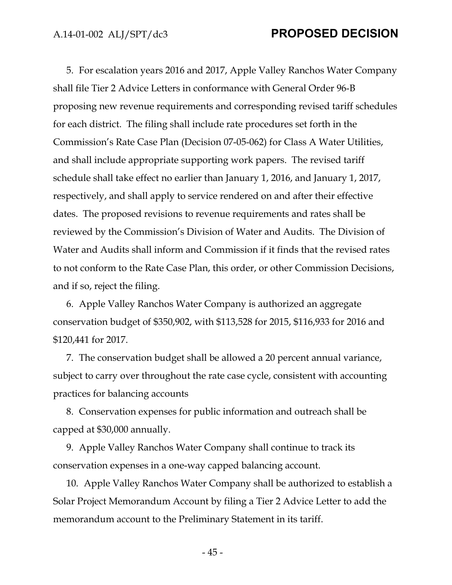5. For escalation years 2016 and 2017, Apple Valley Ranchos Water Company shall file Tier 2 Advice Letters in conformance with General Order 96-B proposing new revenue requirements and corresponding revised tariff schedules for each district. The filing shall include rate procedures set forth in the Commission's Rate Case Plan (Decision 07-05-062) for Class A Water Utilities, and shall include appropriate supporting work papers. The revised tariff schedule shall take effect no earlier than January 1, 2016, and January 1, 2017, respectively, and shall apply to service rendered on and after their effective dates. The proposed revisions to revenue requirements and rates shall be reviewed by the Commission's Division of Water and Audits. The Division of Water and Audits shall inform and Commission if it finds that the revised rates to not conform to the Rate Case Plan, this order, or other Commission Decisions, and if so, reject the filing.

6. Apple Valley Ranchos Water Company is authorized an aggregate conservation budget of \$350,902, with \$113,528 for 2015, \$116,933 for 2016 and \$120,441 for 2017.

7. The conservation budget shall be allowed a 20 percent annual variance, subject to carry over throughout the rate case cycle, consistent with accounting practices for balancing accounts

8. Conservation expenses for public information and outreach shall be capped at \$30,000 annually.

9. Apple Valley Ranchos Water Company shall continue to track its conservation expenses in a one-way capped balancing account.

10. Apple Valley Ranchos Water Company shall be authorized to establish a Solar Project Memorandum Account by filing a Tier 2 Advice Letter to add the memorandum account to the Preliminary Statement in its tariff.